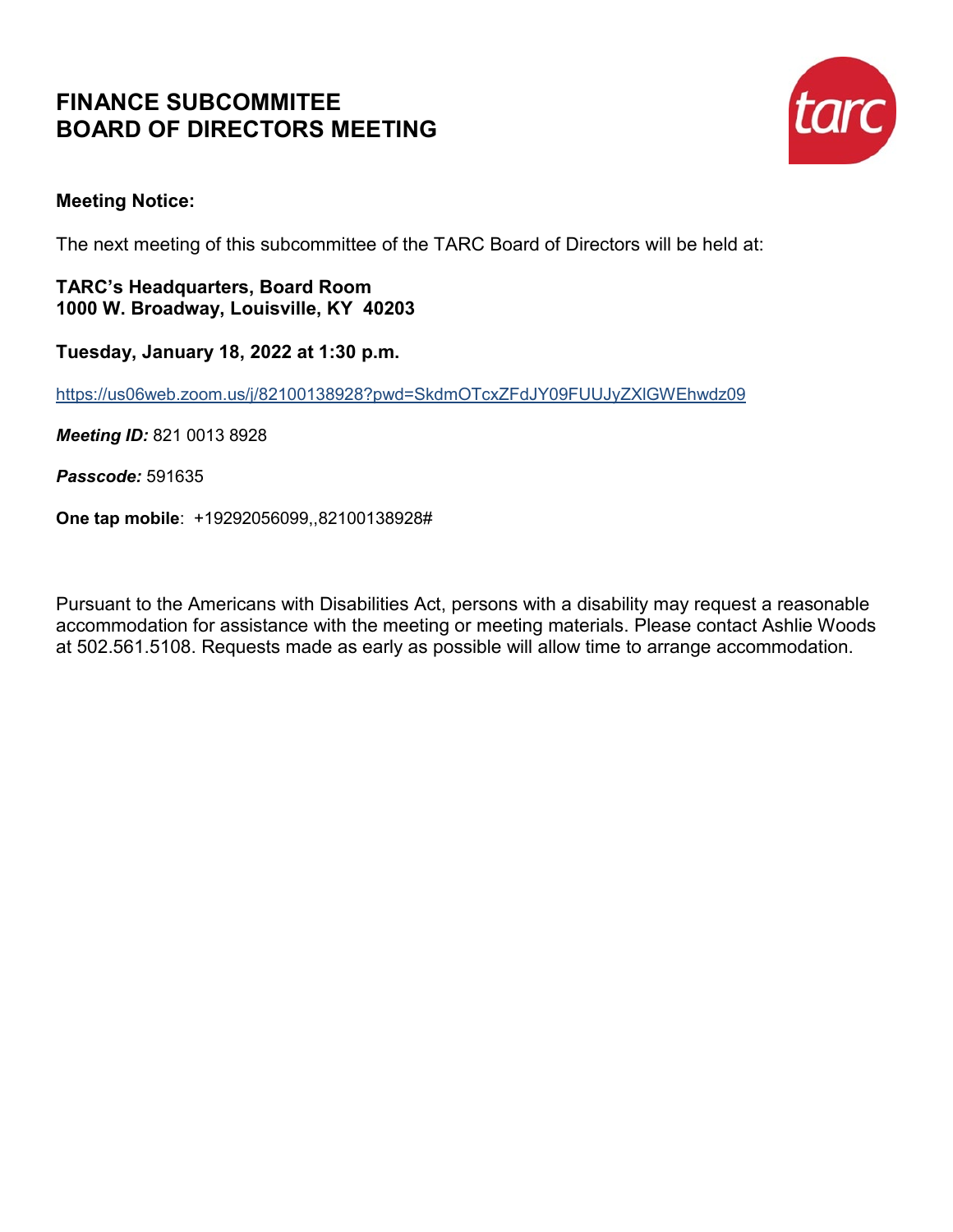## **FINANCE SUBCOMMITEE BOARD OF DIRECTORS MEETING**



## **Meeting Notice:**

The next meeting of this subcommittee of the TARC Board of Directors will be held at:

**TARC's Headquarters, Board Room 1000 W. Broadway, Louisville, KY 40203** 

**Tuesday, January 18, 2022 at 1:30 p.m.** 

https://us06web.zoom.us/j/82100138928?pwd=SkdmOTcxZFdJY09FUUJyZXlGWEhwdz09

*Meeting ID:* 821 0013 8928

*Passcode:* 591635

**One tap mobile**: +19292056099,,82100138928#

Pursuant to the Americans with Disabilities Act, persons with a disability may request a reasonable accommodation for assistance with the meeting or meeting materials. Please contact Ashlie Woods at 502.561.5108. Requests made as early as possible will allow time to arrange accommodation.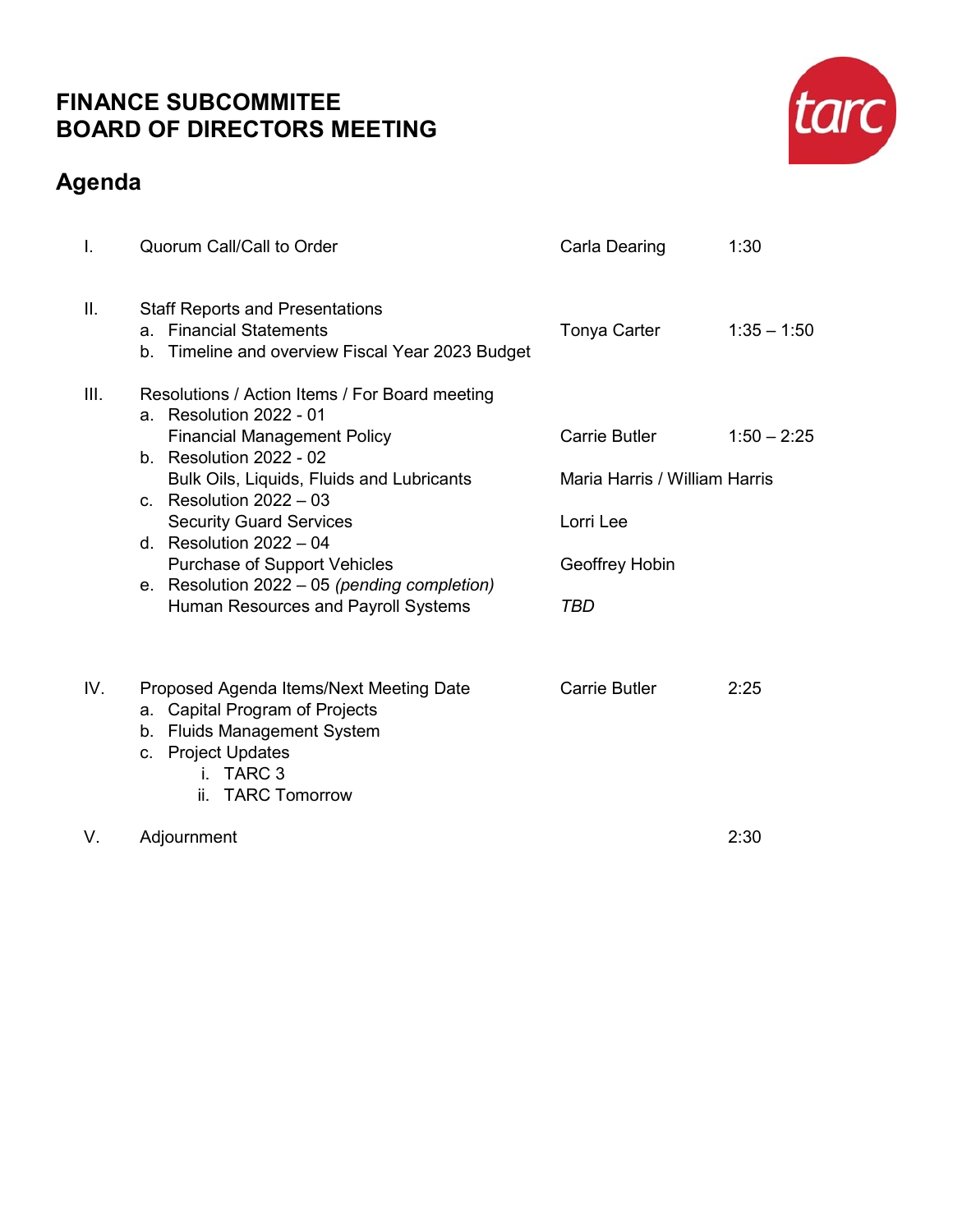## **FINANCE SUBCOMMITEE BOARD OF DIRECTORS MEETING**

## **Agenda**



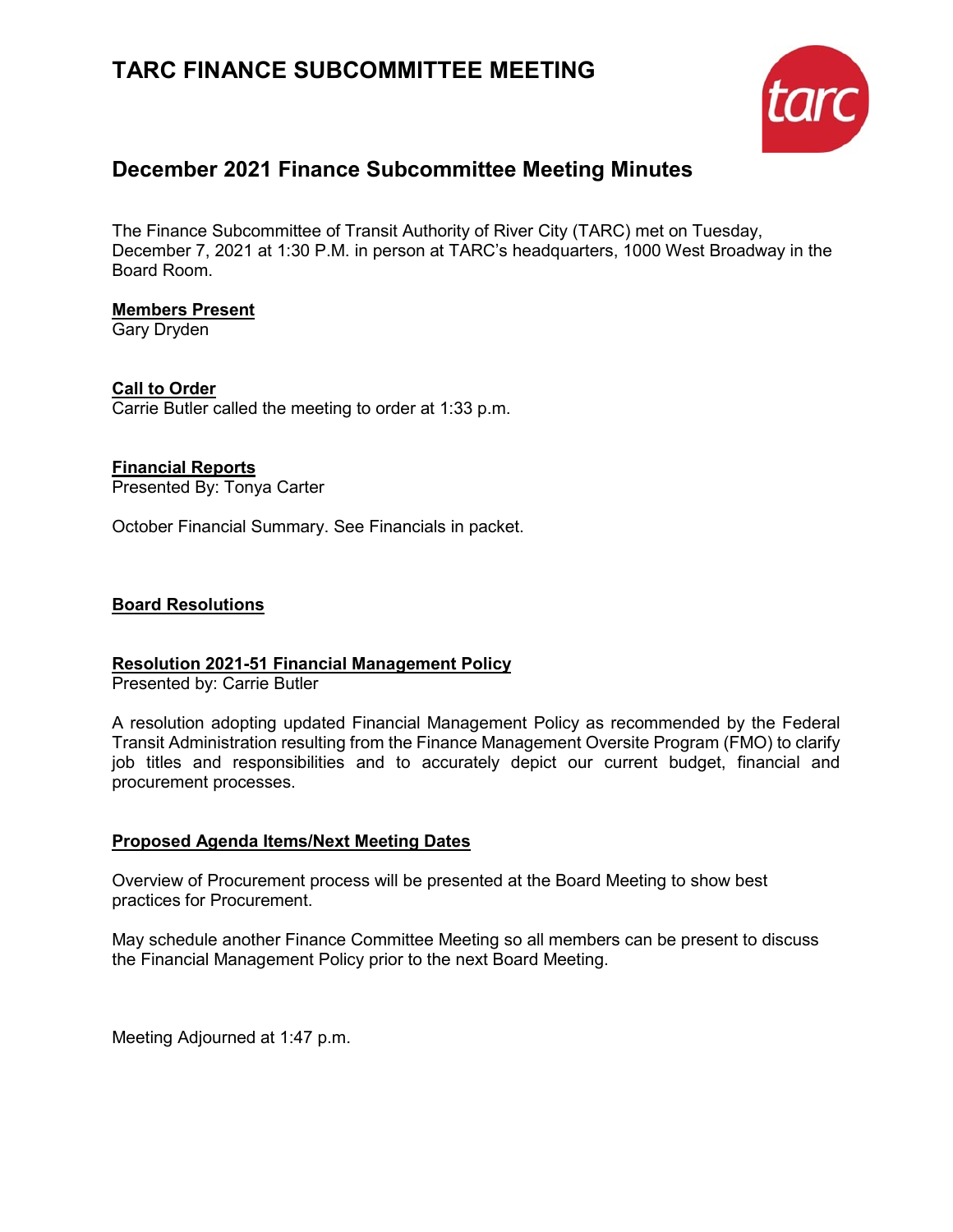## **TARC FINANCE SUBCOMMITTEE MEETING**



## **December 2021 Finance Subcommittee Meeting Minutes**

The Finance Subcommittee of Transit Authority of River City (TARC) met on Tuesday, December 7, 2021 at 1:30 P.M. in person at TARC's headquarters, 1000 West Broadway in the Board Room.

## **Members Present**

Gary Dryden

**Call to Order** Carrie Butler called the meeting to order at 1:33 p.m.

## **Financial Reports**

Presented By: Tonya Carter

October Financial Summary. See Financials in packet.

## **Board Resolutions**

## **Resolution 2021-51 Financial Management Policy**

Presented by: Carrie Butler

A resolution adopting updated Financial Management Policy as recommended by the Federal Transit Administration resulting from the Finance Management Oversite Program (FMO) to clarify job titles and responsibilities and to accurately depict our current budget, financial and procurement processes.

## **Proposed Agenda Items/Next Meeting Dates**

Overview of Procurement process will be presented at the Board Meeting to show best practices for Procurement.

May schedule another Finance Committee Meeting so all members can be present to discuss the Financial Management Policy prior to the next Board Meeting.

Meeting Adjourned at 1:47 p.m.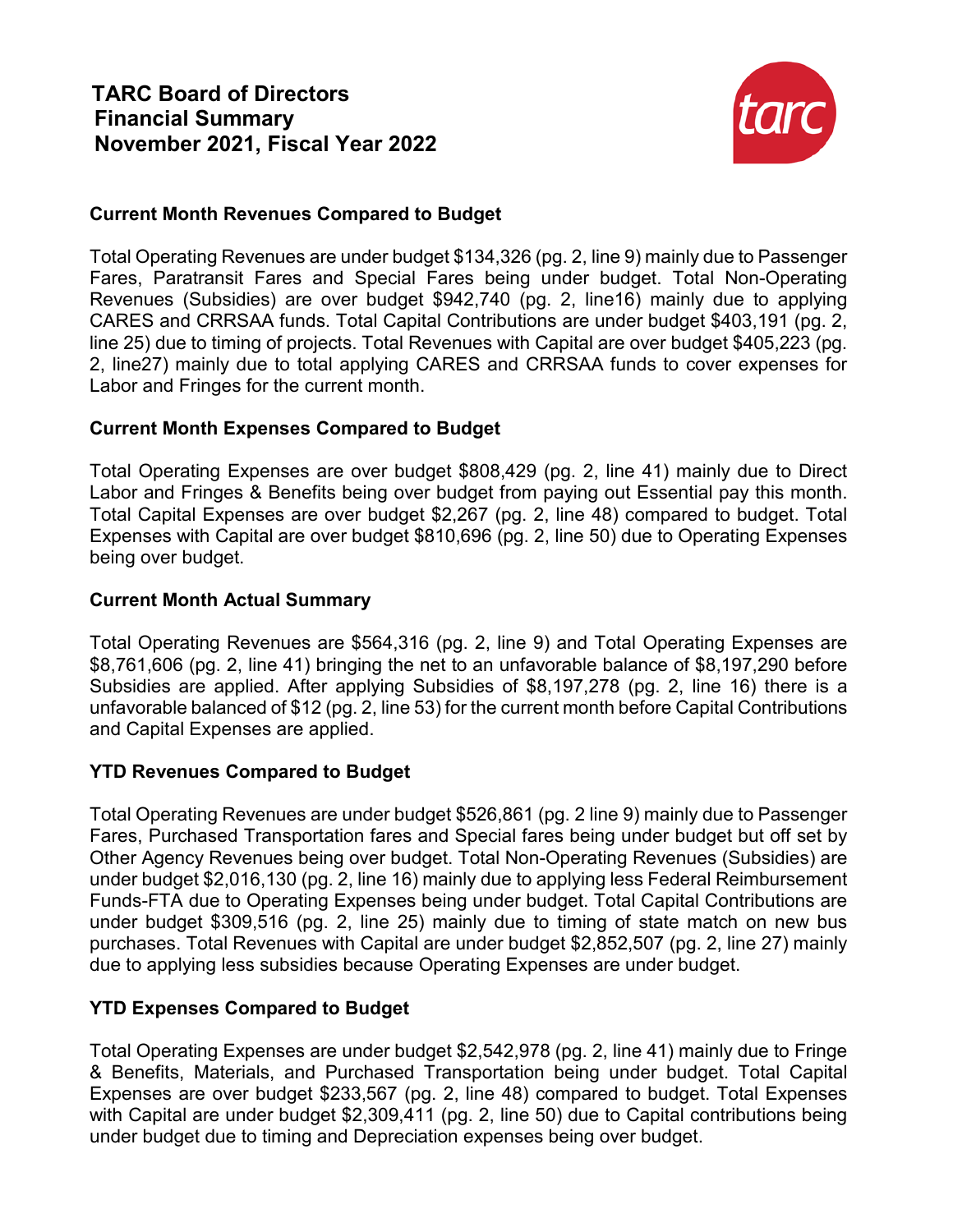

## **Current Month Revenues Compared to Budget**

Total Operating Revenues are under budget \$134,326 (pg. 2, line 9) mainly due to Passenger Fares, Paratransit Fares and Special Fares being under budget. Total Non-Operating Revenues (Subsidies) are over budget \$942,740 (pg. 2, line16) mainly due to applying CARES and CRRSAA funds. Total Capital Contributions are under budget \$403,191 (pg. 2, line 25) due to timing of projects. Total Revenues with Capital are over budget \$405,223 (pg. 2, line27) mainly due to total applying CARES and CRRSAA funds to cover expenses for Labor and Fringes for the current month.

## **Current Month Expenses Compared to Budget**

Total Operating Expenses are over budget \$808,429 (pg. 2, line 41) mainly due to Direct Labor and Fringes & Benefits being over budget from paying out Essential pay this month. Total Capital Expenses are over budget \$2,267 (pg. 2, line 48) compared to budget. Total Expenses with Capital are over budget \$810,696 (pg. 2, line 50) due to Operating Expenses being over budget.

## **Current Month Actual Summary**

Total Operating Revenues are \$564,316 (pg. 2, line 9) and Total Operating Expenses are \$8,761,606 (pg. 2, line 41) bringing the net to an unfavorable balance of \$8,197,290 before Subsidies are applied. After applying Subsidies of \$8,197,278 (pg. 2, line 16) there is a unfavorable balanced of \$12 (pg. 2, line 53) for the current month before Capital Contributions and Capital Expenses are applied.

## **YTD Revenues Compared to Budget**

Total Operating Revenues are under budget \$526,861 (pg. 2 line 9) mainly due to Passenger Fares, Purchased Transportation fares and Special fares being under budget but off set by Other Agency Revenues being over budget. Total Non-Operating Revenues (Subsidies) are under budget \$2,016,130 (pg. 2, line 16) mainly due to applying less Federal Reimbursement Funds-FTA due to Operating Expenses being under budget. Total Capital Contributions are under budget \$309,516 (pg. 2, line 25) mainly due to timing of state match on new bus purchases. Total Revenues with Capital are under budget \$2,852,507 (pg. 2, line 27) mainly due to applying less subsidies because Operating Expenses are under budget.

## **YTD Expenses Compared to Budget**

Total Operating Expenses are under budget \$2,542,978 (pg. 2, line 41) mainly due to Fringe & Benefits, Materials, and Purchased Transportation being under budget. Total Capital Expenses are over budget \$233,567 (pg. 2, line 48) compared to budget. Total Expenses with Capital are under budget \$2,309,411 (pg. 2, line 50) due to Capital contributions being under budget due to timing and Depreciation expenses being over budget.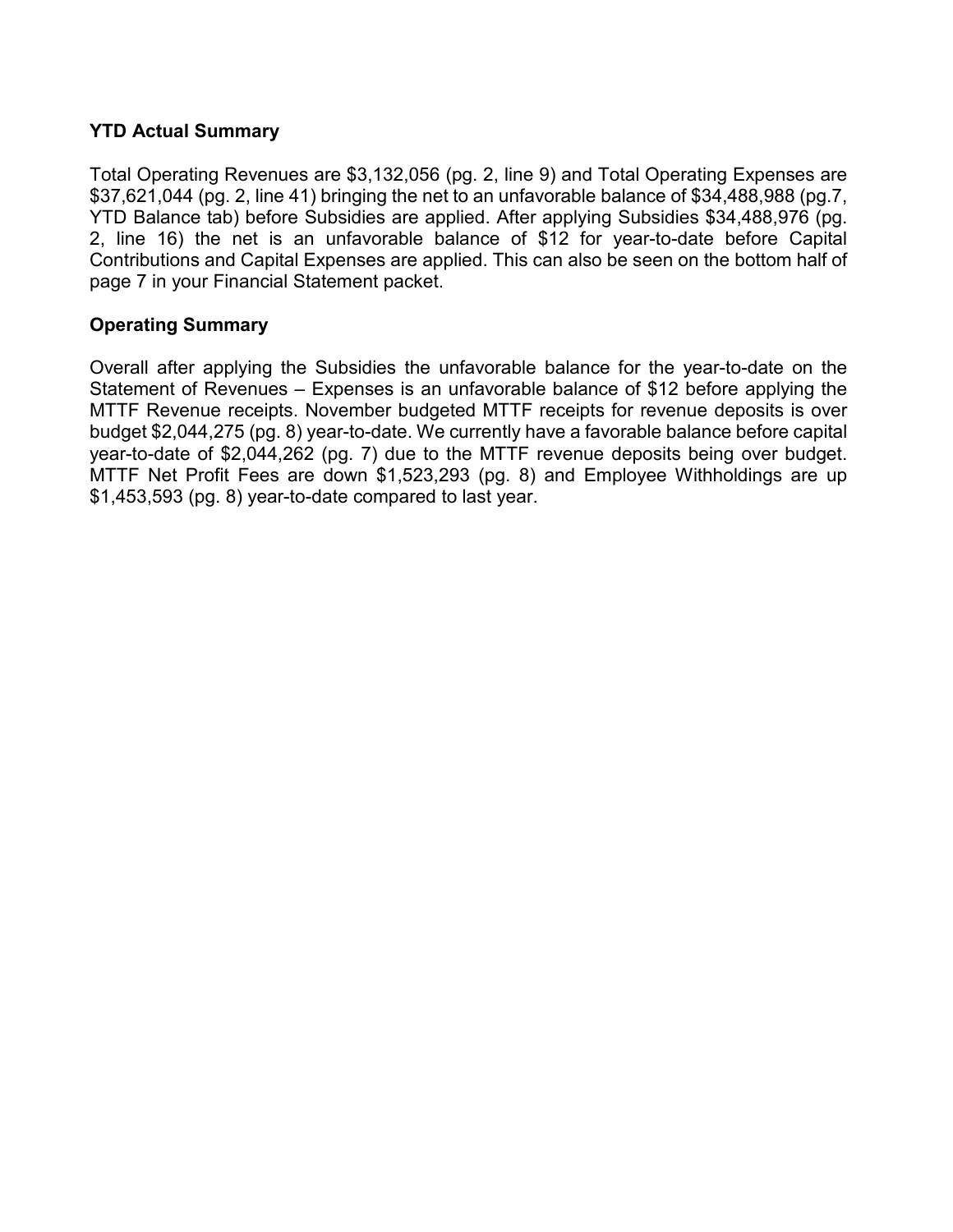## **YTD Actual Summary**

Total Operating Revenues are \$3,132,056 (pg. 2, line 9) and Total Operating Expenses are \$37,621,044 (pg. 2, line 41) bringing the net to an unfavorable balance of \$34,488,988 (pg.7, YTD Balance tab) before Subsidies are applied. After applying Subsidies \$34,488,976 (pg. 2, line 16) the net is an unfavorable balance of \$12 for year-to-date before Capital Contributions and Capital Expenses are applied. This can also be seen on the bottom half of page 7 in your Financial Statement packet.

## **Operating Summary**

Overall after applying the Subsidies the unfavorable balance for the year-to-date on the Statement of Revenues – Expenses is an unfavorable balance of \$12 before applying the MTTF Revenue receipts. November budgeted MTTF receipts for revenue deposits is over budget \$2,044,275 (pg. 8) year-to-date. We currently have a favorable balance before capital year-to-date of \$2,044,262 (pg. 7) due to the MTTF revenue deposits being over budget. MTTF Net Profit Fees are down \$1,523,293 (pg. 8) and Employee Withholdings are up \$1,453,593 (pg. 8) year-to-date compared to last year.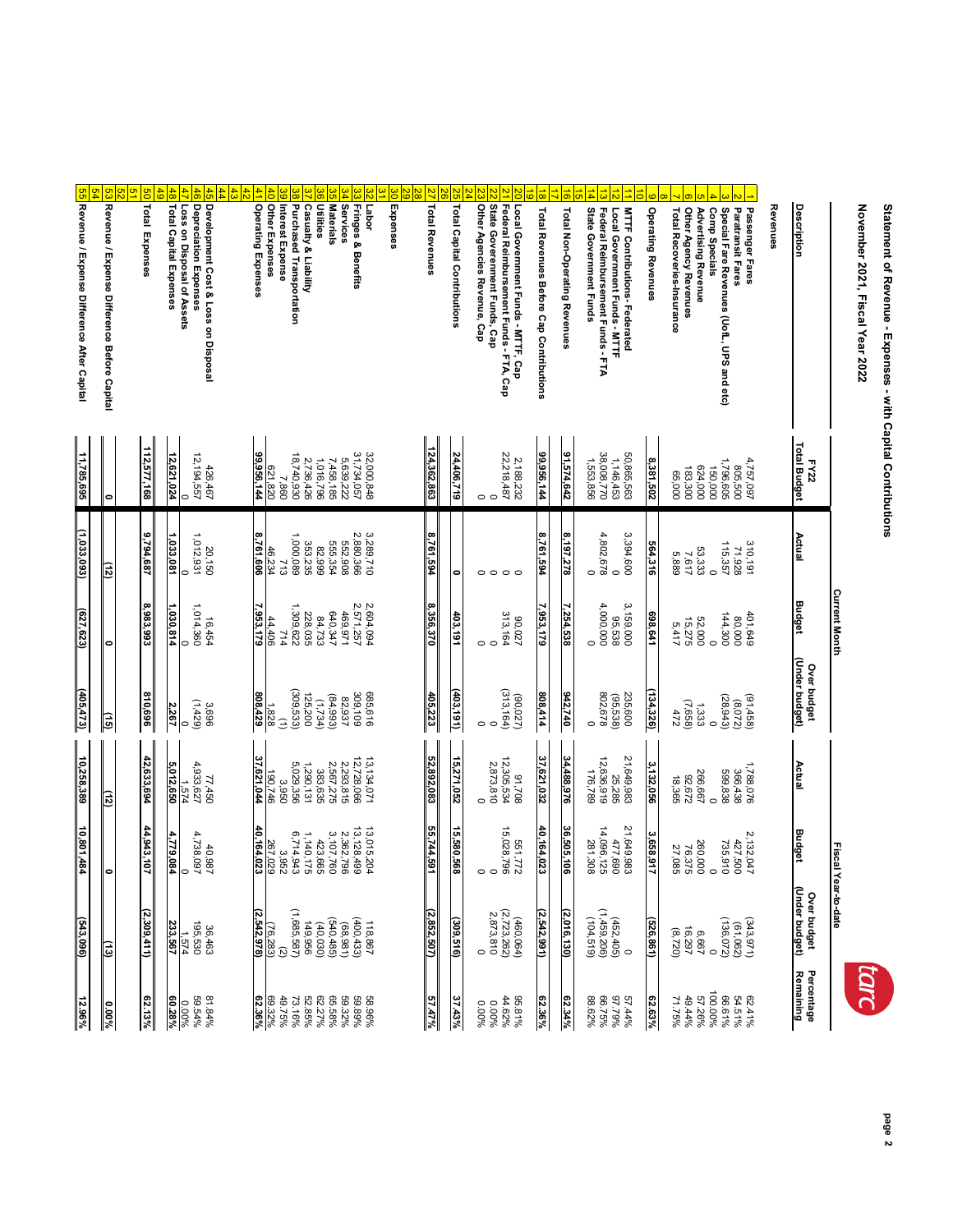## Statement of Revenue - Expenses - with Capital Contributions **Statement of Revenue - Expenses - with Capital Contributions**

## November 2021, Fiscal Year 2022 **November 2021, Fiscal Year 2022**



|                                                                                                              |                                     |                              | <b>Current Month</b>         |                                   |                                   | Fiscal Year-to-date               |                                                                           |                                                           |
|--------------------------------------------------------------------------------------------------------------|-------------------------------------|------------------------------|------------------------------|-----------------------------------|-----------------------------------|-----------------------------------|---------------------------------------------------------------------------|-----------------------------------------------------------|
| Description                                                                                                  | <b>Total Budget</b><br>FY22         | Actual                       | <b>Budget</b>                | (Under budget)<br>Over budget     | Actual                            | <b>Budget</b>                     | Over budget<br>(Under budget)                                             | Percentage<br><b>Remaining</b>                            |
| Revenues                                                                                                     |                                     |                              |                              |                                   |                                   |                                   |                                                                           |                                                           |
| Passenger Fares                                                                                              | 4,757,097                           | 310,191                      | 401,649                      | $(91,458)$<br>$(8,072)$           | 1,788,076                         | 2,132,047                         |                                                                           |                                                           |
| Paratransit Fares<br>Special Fare Revenues (UofL, UPS and etc)                                               | 1,796,605<br>805,500                | 115,357<br>71,928            | 144,300<br>000'08            | (28, 943)                         | 599,838<br>366,438                | 427,500<br>735,910                | $(343, 971)$<br>$(61, 062)$<br>$(136, 072)$                               | 62.41%<br>64.51%<br>66.61%%<br>67.26%<br>49.44%           |
| Comp Specials<br>Advertising Revenue                                                                         | 624,000<br>150,000                  | 53,333<br>$\circ$            | 52,000<br>$\circ$            | 1,333<br>$\circ$                  | 266,667<br>$\circ$                | 260,000<br>$\circ$                |                                                                           |                                                           |
| Total Recoveries-Insurance<br>Other Agency Revenues                                                          | 183,300<br>65,000                   | 5,889<br>7,617               | 15,275<br>5,417              | (7,668)                           | 82,672<br>18,365                  | 27,085<br>76,375                  | $6,667$<br>$16,297$<br>$(8,720)$                                          | 71.75%                                                    |
| <b>Operating Revenues</b>                                                                                    | 8,381,502                           | 564,316                      | 698,641                      | 134,326)                          | 3,132,056                         | 3,658,917                         | 526,861)                                                                  | 62.63%                                                    |
| <b>MTTF Contributions-Federated</b><br>Local Government Funds - MTTF                                         | 50,865,563<br>1,146,453             | 3,394,600<br>$\circ$         | 3,159,000<br>95,538          | 235,600<br>(95, 538)              | 21,649,983<br>25,285              | 21,649,983<br>477,690             |                                                                           | 57.44%<br>97.79%                                          |
| State Government Funds<br>Federal Reimbursement Funds - FTA                                                  | 38,008,770<br>1,553,856             | 4,802,678<br>$\circ$         | 4,000,000<br>$\circ$         | 802,678<br>$\circ$                | 12,636,919<br>176,789             | 14,096,125<br>281,308             | $\begin{array}{c} (612' + 61') \\ (1,459,206) \\ (1,459,206) \end{array}$ | 88.62%<br>66.75%                                          |
| Total Non-Operating Revenues                                                                                 | 91,574,642                          | 8,197,278                    | 7,254,538                    | 942,740                           | 34,488,976                        | 36,505,106                        | (2,016,130)                                                               | $62.34\%$                                                 |
| Total Revenues Before Cap Contributions                                                                      | 99,956,144                          | 8,761,594                    | 7,953,179                    | 808,414                           | 37,621,032                        | 40,164,023                        | (2, 542, 991)                                                             | 62.36%                                                    |
| State Goverenment Funds, Cap<br>Federal Reimbursement Funds - FTA, Cap<br>Local Government Funds - MTTF, Cap | 22,218,487<br>2,188,232<br>$\circ$  | $\circ$<br>$\circ$           | 313,164<br>20'08<br>$\circ$  | (313, 164)<br>(90,027)<br>$\circ$ | 12,305,534<br>2,873,810<br>802'6  | 15,028,796<br>551,772<br>$\circ$  | $(460,064)$<br>$(2,723,262)$<br>2,873,810                                 | 95.81%<br>44.62%<br>0.00%                                 |
| Other Agencies Revenue, Cap                                                                                  | O                                   | O                            | $\circ$                      | $\circ$                           | 0                                 | $\circ$                           | $\circ$                                                                   | 0.00%                                                     |
| <b>Total Capital Contributions</b>                                                                           | 24,406,719                          | ۰                            | 403,191                      | (403, 191)                        | 15,271,052                        | 15,580,568                        | (309,516)                                                                 | $37.43\%$                                                 |
| <b>Total Revenues</b>                                                                                        | 124,362,863                         | 8,761,594                    | 8,356,370                    | 405,223                           | 52,892,083                        | 55,744,591                        | (2,852,507)                                                               | $57.47\%$                                                 |
| Expenses                                                                                                     |                                     |                              |                              |                                   |                                   |                                   |                                                                           |                                                           |
| Fringes & Benefits<br>Labor                                                                                  | 32,000,848<br>31,734,057            | 2,880,366<br>3,289,710       | 2,604,094<br>2,571,257       | 685,616<br>309,109                | 13,134,071<br>12,728,066          | 13,015,204<br>13, 128, 499        | $118.867$<br>(400,433)<br>(68,981)                                        | 58.96%<br>59.89%<br>65.58%                                |
| Services<br><b>Utilities</b><br><b>Materials</b>                                                             | 1,016,796<br>5,639,222<br>7,458,185 | 555,354<br>552,908<br>82,999 | 640,347<br>469,971<br>84,733 | (84, 993)<br>82,937<br>(1,734)    | 2,567,275<br>2,293,815<br>383,635 | 3,107,760<br>2,362,796<br>423,665 |                                                                           |                                                           |
| <b>Purchased Transportation</b><br><b>Casualty &amp; Liability</b>                                           | 18,740,930<br>2,736,426             | 1,000,089<br>353,235         | 1,309,622<br>228,035         | (309, 533)<br>125,200             | 5,029,356<br>1,290,131            | 6,714,943<br>1,140,175            | $(540, 485)$<br>$(40, 030)$<br>$(49, 956)$<br>$(1, 685, 587)$             | 62<br>52 36 %<br>52 36 %<br>62 38 %<br>62 36 %<br>62 36 % |
| Other Expenses<br>Interest Expense                                                                           | 621,820<br>7,860                    | 46,234<br>713                | 44,406<br>714                | 1,828<br>$\mathbf{r}$             | 190,746<br>3,950                  | 267,029<br>3,952                  | $\frac{(76,283)}{(2,542,978)}$                                            |                                                           |
| Operating Expenses                                                                                           | 99,956,144                          | 8,761,606                    | ,953,179                     | 808,429                           | 37,621,044                        | 40,164,023                        |                                                                           |                                                           |
| Development Cost & Loss on Disposal<br>Depreciation Expenses                                                 | 426,467<br>12,194,557               | 1,012,931<br>20,150          | 1,014,360<br>16,454          | (1,429)<br>3,696                  | 77,450<br>4,933,627               | 4,738,097<br>40,987               | 36,463<br>195,530                                                         | 81.84%<br>59.54%                                          |
| Total Capital Expenses<br>Loss on Disposal of Assets                                                         | 12,621,024<br>$\circ$               | 1,033,081<br>$\circ$         | 1,030,814<br>$\circ$         | 2,267<br>$\circ$                  | 5,012,650<br>1,574                | 4,779,084<br>0                    | 233,567<br>1,574                                                          | 60.28%<br>0.00%                                           |
| <b>Total Expenses</b>                                                                                        | 112,577,168                         | 9,794,687                    | 8,983,993                    | 810,696                           | 42,633,694                        | 44,943,107                        | (2,309,411)                                                               | $62.13\%$                                                 |
|                                                                                                              |                                     |                              |                              |                                   |                                   |                                   |                                                                           |                                                           |
| $\frac{54}{5}$<br>93<br>Revenue / Expense Difference Before Capital                                          |                                     | (12)                         | $\bullet$                    | (ئق                               | $\frac{1}{2}$                     | ۰                                 | $\frac{(13)}{2}$                                                          | $0.00\%$                                                  |
| <mark>55</mark> Revenue / Expense Difference After Capital                                                   | 11,785,695                          | (1,033,093)                  | (627, 623)                   | (405, 473)                        | 10,258,389                        | 10,801,484                        | (543,096)                                                                 | 12.96%                                                    |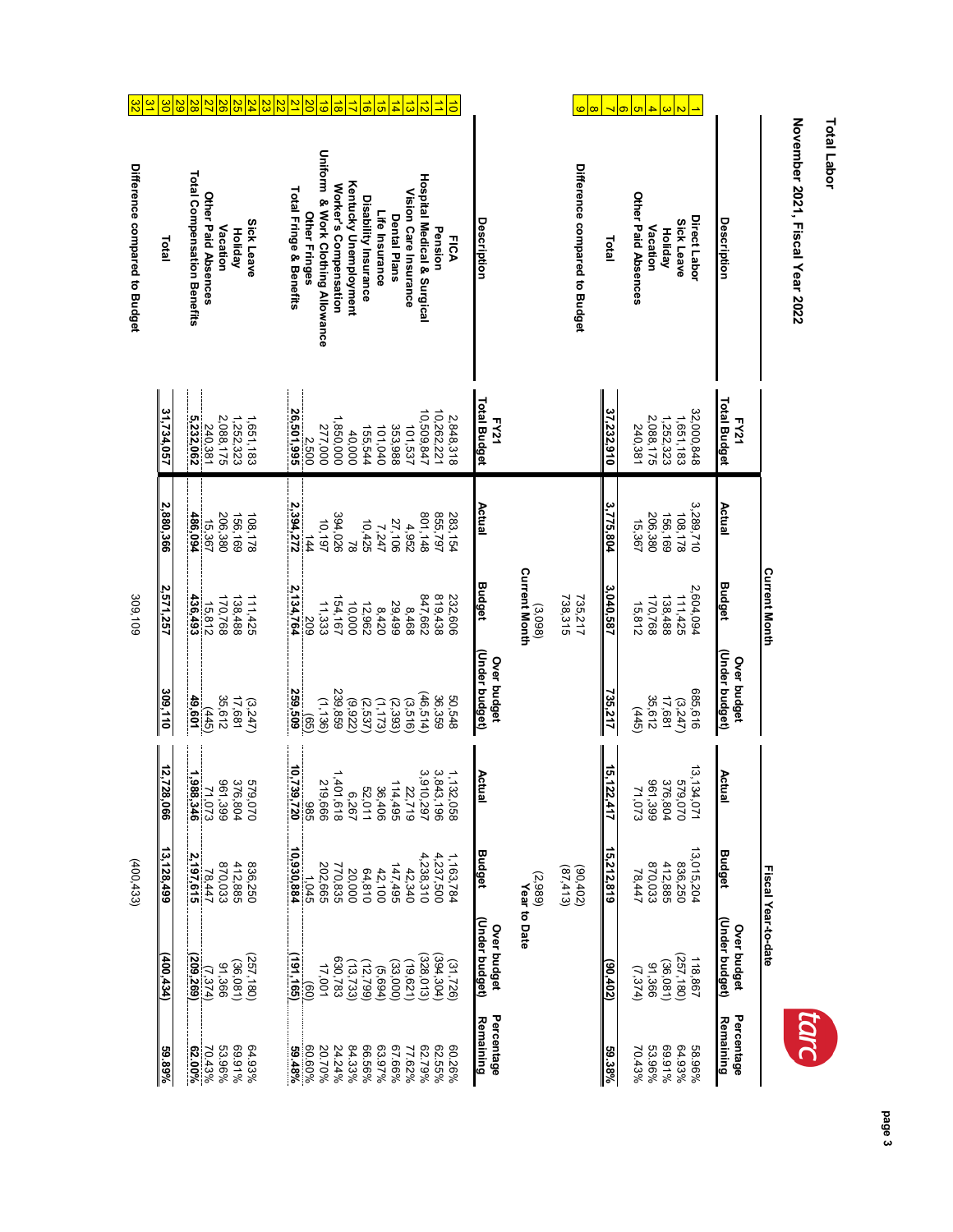| Uniform & Work Clothing Allowance<br>Difference compared to Budget<br><b>Total Compensation Benefits</b><br><b>Hospital Medical &amp; Surgical</b><br>Kentucky Unemployment<br>Worker's Compensation<br>Total Fringe & Benefits<br>Vision Care Insurance<br>Other Paid Absences<br>Other Paid Absences<br>Disability Insurance<br>Life Insurance<br>Other Fringes<br>Dental Plans<br>Direct Labor<br>Description<br>Description<br><b>Sick Leave</b><br><b>Sick Leave</b><br>Vacation<br>Vacation<br>Pension<br><b>Holiday</b><br><b>Holiday</b><br><b>FICA</b><br>Total<br>Total<br>Total Budget<br><b>Total Budget</b><br>31,734,057<br>37,232,910<br>32,000,848<br>26,501,995<br>26,501,995<br>10,509,847<br>10,262,221<br>2,088,175<br>2,848,318<br>2,088,175<br>1,252,323<br>1,651,183<br>5,232,062<br>1,252,323<br>1,651,183<br>1,850,000<br>FY21<br>FY21<br>240,381<br>240,381<br>277,000<br>353,988<br>101,537<br>101,040<br>155,544<br>40,000<br>Actual<br>3,775,804<br>3,289,710<br>2,880,366<br>Actual<br>2,394,272<br>206,380<br>801,148<br>855,797<br>108,178<br>156,169<br>394,026<br>156, 169<br>206, 380<br>108,178<br>283, 154<br>486,094<br>15,367<br>10,197<br>27,106<br>15,367<br>10,425<br>4,952<br>7,247<br>144<br>$\overline{8}$<br><b>Current Month</b><br><b>Budget</b><br><b>Budget</b><br>2,571,257<br>3,040,587<br>2,604,094<br>2,134,764<br>819,438<br>111,425<br>847,662<br>738,315<br>735,217<br>170,768<br>138,488<br>436,493<br>170,768<br>138,488<br>111,425<br>154,167<br>232,606<br>15,812<br>11,333<br>29,499<br>15,812<br>10,000<br>12,962<br>(3,098)<br>8,468<br>8,420<br>502<br>(Under budget)<br>(Under budget)<br>Over budget<br>Over budget<br>685,616<br>309,110<br>239,859<br>259,509<br>735,217<br>(46, 514)<br>35,612<br>36,359<br>35,612<br>17,681<br>49,601<br>17,681<br>50,548<br>(1, 136)<br>(3,247)<br>(3,247)<br>(9, 922)<br>(1, 173)<br>(2,537)<br>(2, 393)<br>(3,516)<br>(445)<br>(445)<br>ලිව<br>12,728,066<br>15,122<br>13, 134, 071<br>10,739,720<br>3,910,297<br>3,843,196<br>Actual<br><b>Actual</b><br>1, 132, 058<br>1,401<br>1,988,346<br>579,070<br>219,666<br><b>961</b><br>376,804<br>96<br>376,804<br>020'629<br>114,495<br>22,719<br>36,406<br>52,011<br>Σ<br>6,267<br>1,618<br>1,399<br>1,399<br>1,073<br>1,073<br>:,417<br>986<br>13,015,204<br>13,128,499<br>15,212,819<br>10,930,884<br>Budget<br>Budget<br>2,197,615<br>4,238,310<br>4,237,500<br>1,163,784<br>870,033<br>412,885<br>836,250<br>836,250<br>870,033<br>412,885<br>202,665<br>770,835<br>147,495<br>(90,402)<br>42,340<br>(87, 413)<br>42,100<br>78,447<br>20,000<br>64,810<br>78,447<br>(2,989)<br>1,045<br>Year to Date | November 2021, Fiscal Year 2022 |  | <b>Current Month</b> |  | Fiscal Year-to-date           |
|------------------------------------------------------------------------------------------------------------------------------------------------------------------------------------------------------------------------------------------------------------------------------------------------------------------------------------------------------------------------------------------------------------------------------------------------------------------------------------------------------------------------------------------------------------------------------------------------------------------------------------------------------------------------------------------------------------------------------------------------------------------------------------------------------------------------------------------------------------------------------------------------------------------------------------------------------------------------------------------------------------------------------------------------------------------------------------------------------------------------------------------------------------------------------------------------------------------------------------------------------------------------------------------------------------------------------------------------------------------------------------------------------------------------------------------------------------------------------------------------------------------------------------------------------------------------------------------------------------------------------------------------------------------------------------------------------------------------------------------------------------------------------------------------------------------------------------------------------------------------------------------------------------------------------------------------------------------------------------------------------------------------------------------------------------------------------------------------------------------------------------------------------------------------------------------------------------------------------------------------------------------------------------------------------------------------------------------------------------------------------------------------------------------------------------------------------------------------------------------------------------------------------------------------------------------------------------------------------------------------------------------------------------------|---------------------------------|--|----------------------|--|-------------------------------|
|                                                                                                                                                                                                                                                                                                                                                                                                                                                                                                                                                                                                                                                                                                                                                                                                                                                                                                                                                                                                                                                                                                                                                                                                                                                                                                                                                                                                                                                                                                                                                                                                                                                                                                                                                                                                                                                                                                                                                                                                                                                                                                                                                                                                                                                                                                                                                                                                                                                                                                                                                                                                                                                                  |                                 |  |                      |  | (Under budget)<br>Over budget |
|                                                                                                                                                                                                                                                                                                                                                                                                                                                                                                                                                                                                                                                                                                                                                                                                                                                                                                                                                                                                                                                                                                                                                                                                                                                                                                                                                                                                                                                                                                                                                                                                                                                                                                                                                                                                                                                                                                                                                                                                                                                                                                                                                                                                                                                                                                                                                                                                                                                                                                                                                                                                                                                                  |                                 |  |                      |  | 118,867                       |
|                                                                                                                                                                                                                                                                                                                                                                                                                                                                                                                                                                                                                                                                                                                                                                                                                                                                                                                                                                                                                                                                                                                                                                                                                                                                                                                                                                                                                                                                                                                                                                                                                                                                                                                                                                                                                                                                                                                                                                                                                                                                                                                                                                                                                                                                                                                                                                                                                                                                                                                                                                                                                                                                  |                                 |  |                      |  | (257, 180)                    |
|                                                                                                                                                                                                                                                                                                                                                                                                                                                                                                                                                                                                                                                                                                                                                                                                                                                                                                                                                                                                                                                                                                                                                                                                                                                                                                                                                                                                                                                                                                                                                                                                                                                                                                                                                                                                                                                                                                                                                                                                                                                                                                                                                                                                                                                                                                                                                                                                                                                                                                                                                                                                                                                                  |                                 |  |                      |  |                               |
|                                                                                                                                                                                                                                                                                                                                                                                                                                                                                                                                                                                                                                                                                                                                                                                                                                                                                                                                                                                                                                                                                                                                                                                                                                                                                                                                                                                                                                                                                                                                                                                                                                                                                                                                                                                                                                                                                                                                                                                                                                                                                                                                                                                                                                                                                                                                                                                                                                                                                                                                                                                                                                                                  |                                 |  |                      |  |                               |
|                                                                                                                                                                                                                                                                                                                                                                                                                                                                                                                                                                                                                                                                                                                                                                                                                                                                                                                                                                                                                                                                                                                                                                                                                                                                                                                                                                                                                                                                                                                                                                                                                                                                                                                                                                                                                                                                                                                                                                                                                                                                                                                                                                                                                                                                                                                                                                                                                                                                                                                                                                                                                                                                  |                                 |  |                      |  |                               |
|                                                                                                                                                                                                                                                                                                                                                                                                                                                                                                                                                                                                                                                                                                                                                                                                                                                                                                                                                                                                                                                                                                                                                                                                                                                                                                                                                                                                                                                                                                                                                                                                                                                                                                                                                                                                                                                                                                                                                                                                                                                                                                                                                                                                                                                                                                                                                                                                                                                                                                                                                                                                                                                                  |                                 |  |                      |  |                               |
|                                                                                                                                                                                                                                                                                                                                                                                                                                                                                                                                                                                                                                                                                                                                                                                                                                                                                                                                                                                                                                                                                                                                                                                                                                                                                                                                                                                                                                                                                                                                                                                                                                                                                                                                                                                                                                                                                                                                                                                                                                                                                                                                                                                                                                                                                                                                                                                                                                                                                                                                                                                                                                                                  |                                 |  |                      |  |                               |
|                                                                                                                                                                                                                                                                                                                                                                                                                                                                                                                                                                                                                                                                                                                                                                                                                                                                                                                                                                                                                                                                                                                                                                                                                                                                                                                                                                                                                                                                                                                                                                                                                                                                                                                                                                                                                                                                                                                                                                                                                                                                                                                                                                                                                                                                                                                                                                                                                                                                                                                                                                                                                                                                  |                                 |  |                      |  |                               |
|                                                                                                                                                                                                                                                                                                                                                                                                                                                                                                                                                                                                                                                                                                                                                                                                                                                                                                                                                                                                                                                                                                                                                                                                                                                                                                                                                                                                                                                                                                                                                                                                                                                                                                                                                                                                                                                                                                                                                                                                                                                                                                                                                                                                                                                                                                                                                                                                                                                                                                                                                                                                                                                                  |                                 |  |                      |  | (Under budget)<br>Over budget |
|                                                                                                                                                                                                                                                                                                                                                                                                                                                                                                                                                                                                                                                                                                                                                                                                                                                                                                                                                                                                                                                                                                                                                                                                                                                                                                                                                                                                                                                                                                                                                                                                                                                                                                                                                                                                                                                                                                                                                                                                                                                                                                                                                                                                                                                                                                                                                                                                                                                                                                                                                                                                                                                                  |                                 |  |                      |  |                               |
|                                                                                                                                                                                                                                                                                                                                                                                                                                                                                                                                                                                                                                                                                                                                                                                                                                                                                                                                                                                                                                                                                                                                                                                                                                                                                                                                                                                                                                                                                                                                                                                                                                                                                                                                                                                                                                                                                                                                                                                                                                                                                                                                                                                                                                                                                                                                                                                                                                                                                                                                                                                                                                                                  |                                 |  |                      |  |                               |
|                                                                                                                                                                                                                                                                                                                                                                                                                                                                                                                                                                                                                                                                                                                                                                                                                                                                                                                                                                                                                                                                                                                                                                                                                                                                                                                                                                                                                                                                                                                                                                                                                                                                                                                                                                                                                                                                                                                                                                                                                                                                                                                                                                                                                                                                                                                                                                                                                                                                                                                                                                                                                                                                  |                                 |  |                      |  |                               |
|                                                                                                                                                                                                                                                                                                                                                                                                                                                                                                                                                                                                                                                                                                                                                                                                                                                                                                                                                                                                                                                                                                                                                                                                                                                                                                                                                                                                                                                                                                                                                                                                                                                                                                                                                                                                                                                                                                                                                                                                                                                                                                                                                                                                                                                                                                                                                                                                                                                                                                                                                                                                                                                                  |                                 |  |                      |  |                               |
|                                                                                                                                                                                                                                                                                                                                                                                                                                                                                                                                                                                                                                                                                                                                                                                                                                                                                                                                                                                                                                                                                                                                                                                                                                                                                                                                                                                                                                                                                                                                                                                                                                                                                                                                                                                                                                                                                                                                                                                                                                                                                                                                                                                                                                                                                                                                                                                                                                                                                                                                                                                                                                                                  |                                 |  |                      |  |                               |
|                                                                                                                                                                                                                                                                                                                                                                                                                                                                                                                                                                                                                                                                                                                                                                                                                                                                                                                                                                                                                                                                                                                                                                                                                                                                                                                                                                                                                                                                                                                                                                                                                                                                                                                                                                                                                                                                                                                                                                                                                                                                                                                                                                                                                                                                                                                                                                                                                                                                                                                                                                                                                                                                  |                                 |  |                      |  |                               |
|                                                                                                                                                                                                                                                                                                                                                                                                                                                                                                                                                                                                                                                                                                                                                                                                                                                                                                                                                                                                                                                                                                                                                                                                                                                                                                                                                                                                                                                                                                                                                                                                                                                                                                                                                                                                                                                                                                                                                                                                                                                                                                                                                                                                                                                                                                                                                                                                                                                                                                                                                                                                                                                                  |                                 |  |                      |  |                               |
|                                                                                                                                                                                                                                                                                                                                                                                                                                                                                                                                                                                                                                                                                                                                                                                                                                                                                                                                                                                                                                                                                                                                                                                                                                                                                                                                                                                                                                                                                                                                                                                                                                                                                                                                                                                                                                                                                                                                                                                                                                                                                                                                                                                                                                                                                                                                                                                                                                                                                                                                                                                                                                                                  |                                 |  |                      |  |                               |
|                                                                                                                                                                                                                                                                                                                                                                                                                                                                                                                                                                                                                                                                                                                                                                                                                                                                                                                                                                                                                                                                                                                                                                                                                                                                                                                                                                                                                                                                                                                                                                                                                                                                                                                                                                                                                                                                                                                                                                                                                                                                                                                                                                                                                                                                                                                                                                                                                                                                                                                                                                                                                                                                  |                                 |  |                      |  |                               |
|                                                                                                                                                                                                                                                                                                                                                                                                                                                                                                                                                                                                                                                                                                                                                                                                                                                                                                                                                                                                                                                                                                                                                                                                                                                                                                                                                                                                                                                                                                                                                                                                                                                                                                                                                                                                                                                                                                                                                                                                                                                                                                                                                                                                                                                                                                                                                                                                                                                                                                                                                                                                                                                                  |                                 |  |                      |  |                               |
|                                                                                                                                                                                                                                                                                                                                                                                                                                                                                                                                                                                                                                                                                                                                                                                                                                                                                                                                                                                                                                                                                                                                                                                                                                                                                                                                                                                                                                                                                                                                                                                                                                                                                                                                                                                                                                                                                                                                                                                                                                                                                                                                                                                                                                                                                                                                                                                                                                                                                                                                                                                                                                                                  |                                 |  |                      |  | (257, 180)                    |
|                                                                                                                                                                                                                                                                                                                                                                                                                                                                                                                                                                                                                                                                                                                                                                                                                                                                                                                                                                                                                                                                                                                                                                                                                                                                                                                                                                                                                                                                                                                                                                                                                                                                                                                                                                                                                                                                                                                                                                                                                                                                                                                                                                                                                                                                                                                                                                                                                                                                                                                                                                                                                                                                  |                                 |  |                      |  |                               |
|                                                                                                                                                                                                                                                                                                                                                                                                                                                                                                                                                                                                                                                                                                                                                                                                                                                                                                                                                                                                                                                                                                                                                                                                                                                                                                                                                                                                                                                                                                                                                                                                                                                                                                                                                                                                                                                                                                                                                                                                                                                                                                                                                                                                                                                                                                                                                                                                                                                                                                                                                                                                                                                                  |                                 |  |                      |  |                               |
|                                                                                                                                                                                                                                                                                                                                                                                                                                                                                                                                                                                                                                                                                                                                                                                                                                                                                                                                                                                                                                                                                                                                                                                                                                                                                                                                                                                                                                                                                                                                                                                                                                                                                                                                                                                                                                                                                                                                                                                                                                                                                                                                                                                                                                                                                                                                                                                                                                                                                                                                                                                                                                                                  |                                 |  |                      |  |                               |
|                                                                                                                                                                                                                                                                                                                                                                                                                                                                                                                                                                                                                                                                                                                                                                                                                                                                                                                                                                                                                                                                                                                                                                                                                                                                                                                                                                                                                                                                                                                                                                                                                                                                                                                                                                                                                                                                                                                                                                                                                                                                                                                                                                                                                                                                                                                                                                                                                                                                                                                                                                                                                                                                  |                                 |  |                      |  |                               |
|                                                                                                                                                                                                                                                                                                                                                                                                                                                                                                                                                                                                                                                                                                                                                                                                                                                                                                                                                                                                                                                                                                                                                                                                                                                                                                                                                                                                                                                                                                                                                                                                                                                                                                                                                                                                                                                                                                                                                                                                                                                                                                                                                                                                                                                                                                                                                                                                                                                                                                                                                                                                                                                                  |                                 |  |                      |  |                               |

November 2021, Fiscal Year 2022 **Total Labor November 2021, Fiscal Year 2022**

**Total Labor**

**page 3**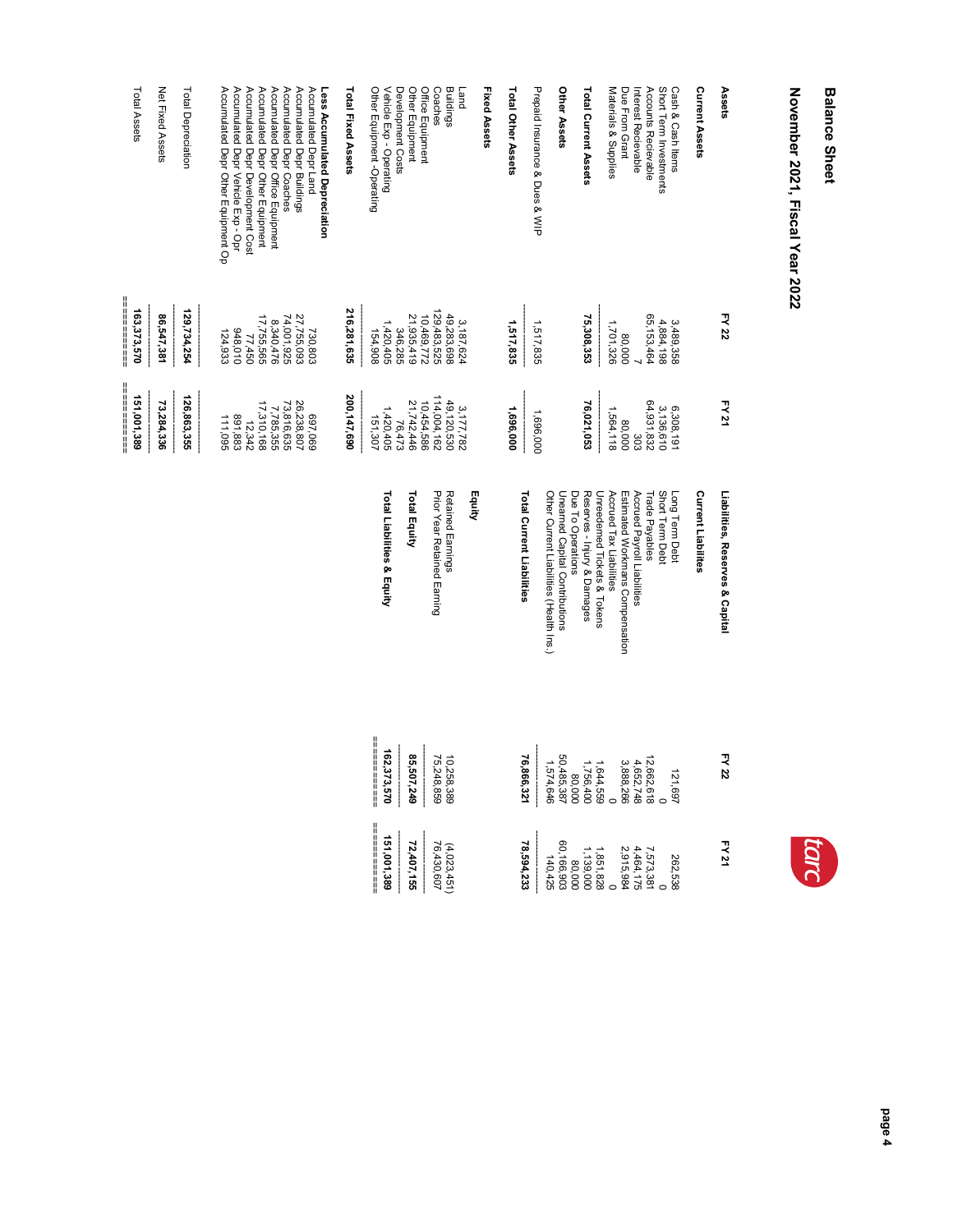## **Balance Sheet Balance Sheet**

## November 2021, Fiscal Year 2022 **November 2021, Fiscal Year 2022**

| Assets                                                        | FY 22                       | FY 21                                      | Liabilities, Reserves & Capital                                                                | FY 22                                                                                                                                                 | FY 21                           |
|---------------------------------------------------------------|-----------------------------|--------------------------------------------|------------------------------------------------------------------------------------------------|-------------------------------------------------------------------------------------------------------------------------------------------------------|---------------------------------|
| Current Assets                                                |                             |                                            | <b>Current Liabilites</b>                                                                      |                                                                                                                                                       |                                 |
| Cash & Cash Items                                             | 3,489,358                   |                                            | Long Term Debt                                                                                 | 121,697                                                                                                                                               | 262,538                         |
| Short Term Investments                                        | 4,884,198                   | 6,308,191<br>3,136,610                     | Short Term Debt                                                                                | $\circ$                                                                                                                                               |                                 |
| Accounts Recievable<br>Interest Recievable                    | 65, 153, 464                | 64,931,832<br>303                          | Accrued Payroll Liabilities<br>Trade Payables                                                  |                                                                                                                                                       | 7,573,381<br>4,464,175          |
| Due From Grant                                                | 80,000                      | 80,000                                     | Estimated Workmans Compensation                                                                | $12,662,618$<br>$4,652,748$<br>$3,888,266$                                                                                                            | 2,915,984                       |
| Materials & Supplies                                          | 1,701,326                   | 1,564,118                                  | Unreedemed Tickets & Tokens<br>Accrued Tax Liabilities                                         |                                                                                                                                                       | 1,851,828                       |
| Total Current Assets                                          | 75,308,353                  | 76,021,053                                 | Reserves - Injury & Damages                                                                    |                                                                                                                                                       | 1,139,000                       |
| Other Assets                                                  |                             |                                            | Other Current Liabilities (Health Ins.)<br>Unearned Capital Contributions<br>Due To Operations | $\begin{array}{c} 1,644,559 \\ 1,756,400 \\ 1,756,400 \\ 80,000 \\ 50,485,387 \\ 1,574,646 \end{array}$                                               | 60,166,903<br>140,425<br>80,000 |
| Prepaid Insurance & Dues & WIP                                | 1,517,835                   | 1,696,000                                  |                                                                                                |                                                                                                                                                       |                                 |
| Total Other Assets                                            | 1,517,835                   | 1,696,000                                  | Total Current Liabilities                                                                      | 76,866,321                                                                                                                                            | 78,594,233                      |
| Fixed Assets                                                  |                             |                                            |                                                                                                |                                                                                                                                                       |                                 |
| <b>Land</b>                                                   | 3, 187, 624                 | 3,177,782                                  | Equity                                                                                         |                                                                                                                                                       |                                 |
| Buildings                                                     | 49,283,698                  | 49,120,530                                 | Retained Earnings                                                                              | 10,258,389<br>75,248,859                                                                                                                              | $(4,023,451)$<br>76,430,607     |
| Coaches                                                       | 129, 483, 525<br>10,469,772 | 114,004,162<br>10,454,586                  | Prior Year Retained Eaming                                                                     | $\begin{array}{c} \begin{array}{c} \begin{array}{c} \begin{array}{c} \end{array} \\ \begin{array}{c} \end{array} \end{array} \end{array} \end{array}$ |                                 |
| Office Equipment<br>Other Equipment                           | 21,935,419                  | 21,742,446                                 | Total Equity                                                                                   | 85,507,249                                                                                                                                            | 72,407,155                      |
| Vehicle Exp - Operating<br>Development Costs                  | 1,420,405<br>346,285        | 1,420,405<br>76,473                        | Total Liabilities & Equity                                                                     | 162,373,570                                                                                                                                           | 151,001,389                     |
| Other Equipment -Operating                                    | 154,908                     | 151,307                                    |                                                                                                | ============                                                                                                                                          |                                 |
| Total Fixed Assets                                            | 216,281,635                 | 200,147,690                                |                                                                                                |                                                                                                                                                       |                                 |
| Accumulated Depr Land<br>Less Accumulated Depreciation        | 730,803                     | 697,069                                    |                                                                                                |                                                                                                                                                       |                                 |
| Accumulated Depr Buildings                                    | 27,755,093                  | 26,238,807                                 |                                                                                                |                                                                                                                                                       |                                 |
| Accumulated Depr Office Equipment<br>Accumulated Depr Coaches | 74,001,925<br>8,340,476     | 73,816,635<br>7,785,355                    |                                                                                                |                                                                                                                                                       |                                 |
| Accumulated Depr Other Equipment                              | 17,755,565                  | 17,310,168                                 |                                                                                                |                                                                                                                                                       |                                 |
| Accumulated Depr Development Cost                             | 77,450                      | 12,342                                     |                                                                                                |                                                                                                                                                       |                                 |
| Accumulated Depr Vehicle Exp - Opr                            | 948,010                     | 891,883                                    |                                                                                                |                                                                                                                                                       |                                 |
| Accumulated Depr Other Equipment Op                           | 124,933                     | 111,095                                    |                                                                                                |                                                                                                                                                       |                                 |
| Total Depreciation                                            | 129,734,254                 | 126,863,355                                |                                                                                                |                                                                                                                                                       |                                 |
| Net Fixed Assets                                              | 86,547,381                  | 73,284,336                                 |                                                                                                |                                                                                                                                                       |                                 |
| Total Assets                                                  | 163,373,570                 | <br>            <br>       <br>151,001,389 |                                                                                                |                                                                                                                                                       |                                 |



tarc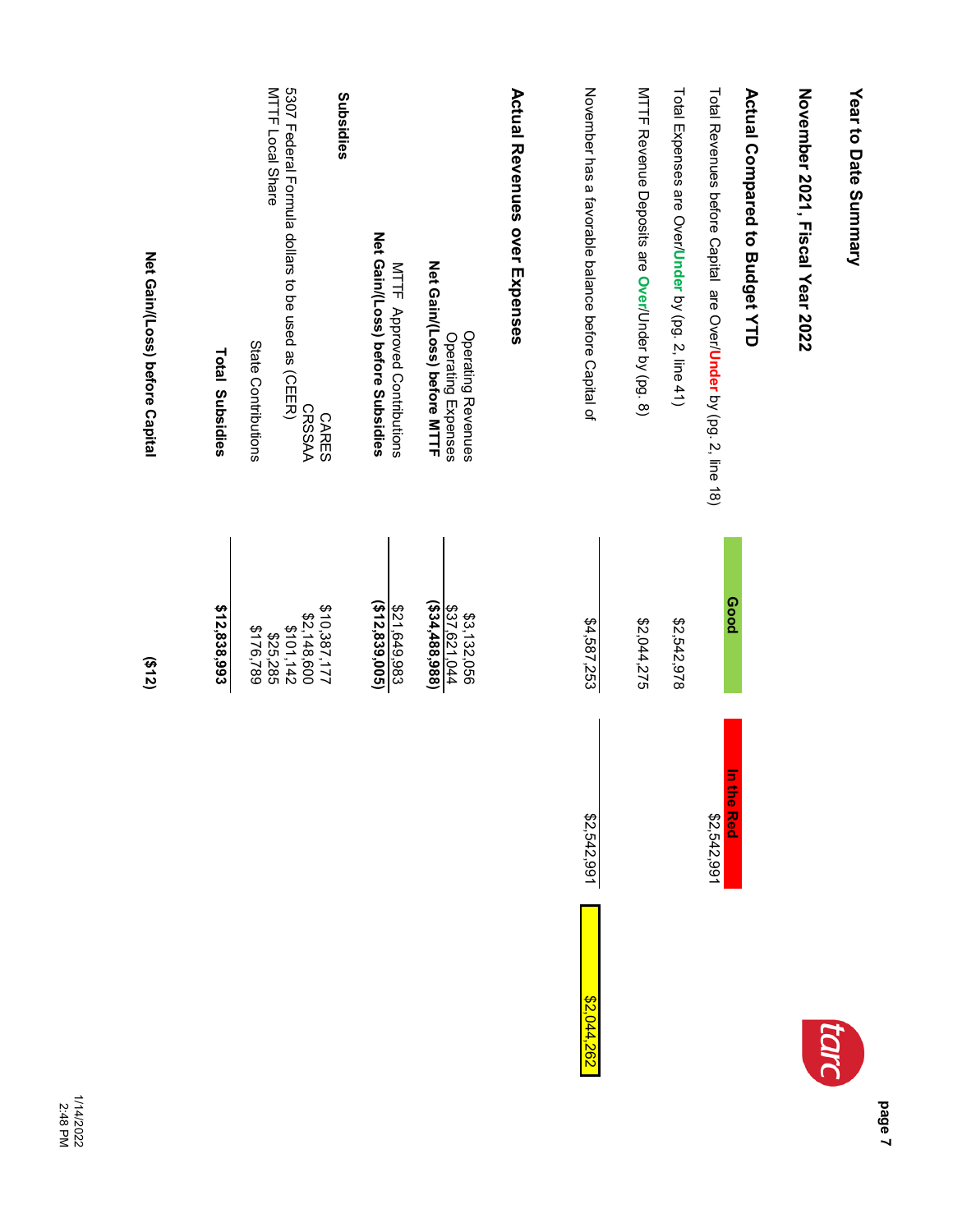| Net Gain/(Loss) before Capital | <b>Total Subsidies</b> | <b>MTTF Local Share</b><br>State Contributions | 5307 Federal Formula dollars to be used as (CEER)<br><b>CRSSAA</b> | Subsidies<br><b>CARES</b> | Net Gain/(Loss) before Subsidies<br>MTTF Approved Contributions | Net Gain/(Loss) before MTTF<br><b>Operating Revenues</b><br>Operating Expenses | <b>Actual Revenues over Expenses</b> | November has a favorable before Capital of | MTTF Revenue Deposits are Over/Under by (pg. 8) | Total Expenses are Over/Under by (pg. 2, line 41) | Total Revenues before Capital are Over/Under by (pg. 2, line 18)<br><b>Poog</b> | <b>Actual Compared to Budget YTD</b> | November 2021, Fiscal Year 2022 | Year to Date Summary |
|--------------------------------|------------------------|------------------------------------------------|--------------------------------------------------------------------|---------------------------|-----------------------------------------------------------------|--------------------------------------------------------------------------------|--------------------------------------|--------------------------------------------|-------------------------------------------------|---------------------------------------------------|---------------------------------------------------------------------------------|--------------------------------------|---------------------------------|----------------------|
| (212)                          | \$12,838,993           | \$176,789<br>\$25,285                          | \$2,148,600<br>\$101,142                                           | \$10,387,177              | ( \$12,839,005)<br>\$21,649,983                                 | (534, 488, 988)<br>\$37,621,044<br>\$3,132,056                                 |                                      | \$4,587,253<br>\$2,542,991<br>\$2,044,262  | \$2,044,275                                     | \$2,542,978                                       | 크<br>1010<br><b>Red</b><br>\$2,542,991                                          |                                      |                                 | tara                 |

1/14/2022 2:48 PM

**page 7**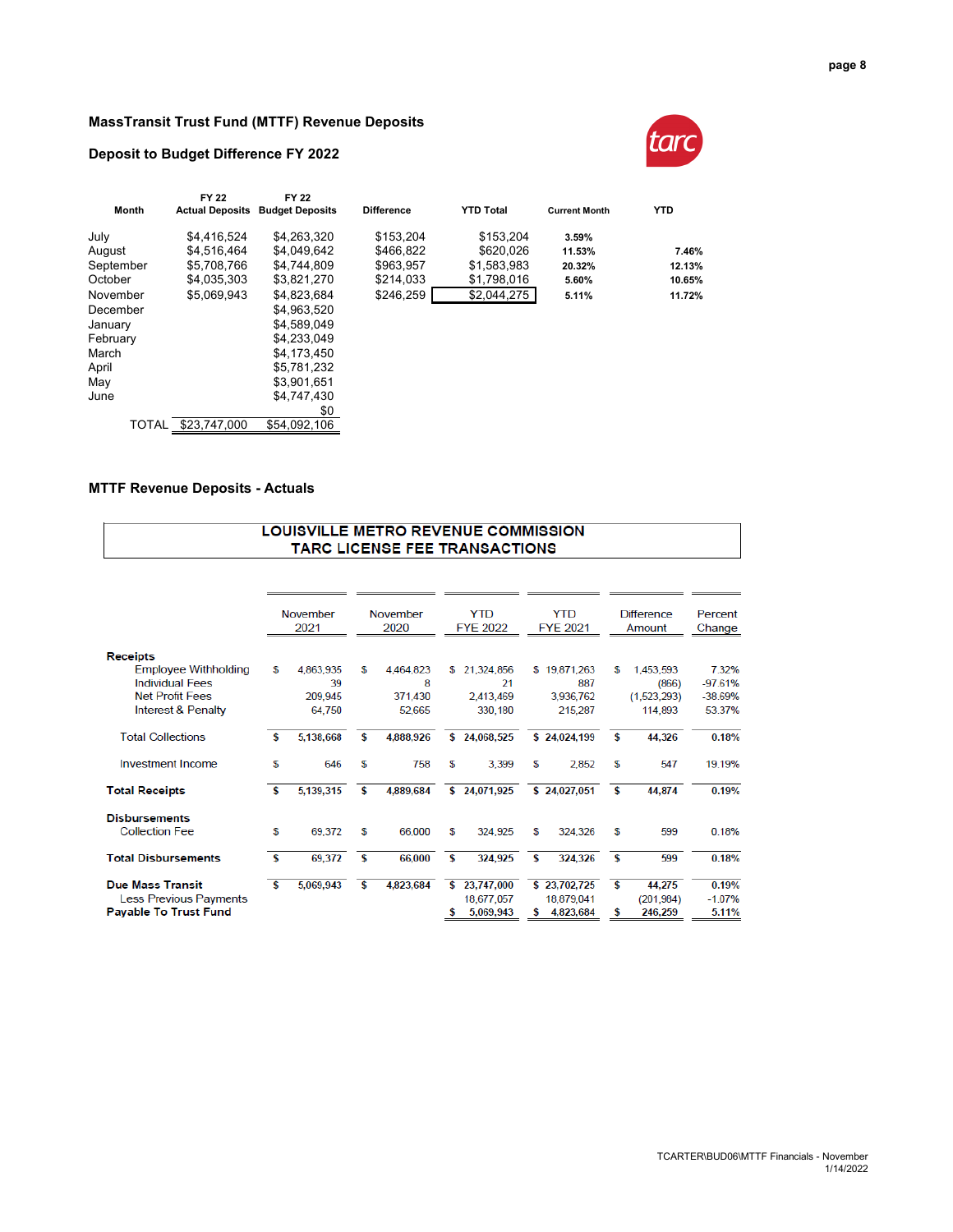## **MassTransit Trust Fund (MTTF) Revenue Deposits**

## **Deposit to Budget Difference FY 2022**



| <b>FY 22</b> | FY 22        |                                        |                  |                      |            |
|--------------|--------------|----------------------------------------|------------------|----------------------|------------|
|              |              | <b>Difference</b>                      | <b>YTD Total</b> | <b>Current Month</b> | <b>YTD</b> |
| \$4.416.524  | \$4.263.320  | \$153.204                              | \$153.204        | 3.59%                |            |
| \$4.516.464  | \$4.049.642  | \$466.822                              | \$620.026        | 11.53%               | 7.46%      |
| \$5,708,766  | \$4.744.809  | \$963.957                              | \$1,583,983      | 20.32%               | 12.13%     |
| \$4.035.303  | \$3.821.270  | \$214.033                              | \$1,798,016      | 5.60%                | 10.65%     |
| \$5.069.943  | \$4.823.684  | \$246,259                              | \$2,044,275      | 5.11%                | 11.72%     |
|              | \$4.963.520  |                                        |                  |                      |            |
|              | \$4.589.049  |                                        |                  |                      |            |
|              | \$4.233.049  |                                        |                  |                      |            |
|              | \$4.173.450  |                                        |                  |                      |            |
|              | \$5,781,232  |                                        |                  |                      |            |
|              | \$3.901.651  |                                        |                  |                      |            |
|              | \$4.747.430  |                                        |                  |                      |            |
|              | \$0          |                                        |                  |                      |            |
| \$23.747.000 | \$54,092,106 |                                        |                  |                      |            |
|              |              | <b>Actual Deposits Budget Deposits</b> |                  |                      |            |

## **MTTF Revenue Deposits - Actuals**

### **LOUISVILLE METRO REVENUE COMMISSION** TARC LICENSE FEE TRANSACTIONS

|                              |    | November<br>2021 |   | November<br>2020 |    | <b>YTD</b><br><b>FYE 2022</b> | YTD<br><b>FYE 2021</b> |    | <b>Difference</b><br>Amount | Percent<br>Change |
|------------------------------|----|------------------|---|------------------|----|-------------------------------|------------------------|----|-----------------------------|-------------------|
| <b>Receipts</b>              |    |                  |   |                  |    |                               |                        |    |                             |                   |
| <b>Employee Withholding</b>  | S  | 4,863,935        | S | 4,464,823        | S  | 21,324,856                    | \$19,871,263           | s  | 1,453,593                   | 7.32%             |
| <b>Individual Fees</b>       |    | 39               |   | 8                |    | 21                            | 887                    |    | (866)                       | $-97.61%$         |
| <b>Net Profit Fees</b>       |    | 209,945          |   | 371,430          |    | 2.413.469                     | 3,936,762              |    | (1,523,293)                 | $-38.69%$         |
| Interest & Penalty           |    | 64,750           |   | 52,665           |    | 330,180                       | 215,287                |    | 114,893                     | 53.37%            |
| <b>Total Collections</b>     | s  | 5,138,668        | s | 4,888,926        | \$ | 24,068,525                    | \$24,024,199           | \$ | 44,326                      | 0.18%             |
| Investment Income            | S  | 646              | S | 758              | £  | 3,399                         | \$<br>2,852            | S  | 547                         | 19.19%            |
| <b>Total Receipts</b>        | S  | 5,139,315        | s | 4,889,684        |    | \$24,071,925                  | \$24,027,051           | \$ | 44,874                      | 0.19%             |
| <b>Disbursements</b>         |    |                  |   |                  |    |                               |                        |    |                             |                   |
| <b>Collection Fee</b>        | S  | 69,372           | s | 66,000           | \$ | 324.925                       | \$<br>324,326          | s  | 599                         | 0.18%             |
| <b>Total Disbursements</b>   | -S | 69,372           | s | 66,000           | \$ | 324,925                       | \$<br>324,326          | \$ | 599                         | 0.18%             |
| <b>Due Mass Transit</b>      | s  | 5,069,943        | s | 4,823,684        | \$ | 23,747,000                    | \$23,702,725           | \$ | 44,275                      | 0.19%             |
| Less Previous Payments       |    |                  |   |                  |    | 18,677,057                    | 18,879,041             |    | (201, 984)                  | $-1.07%$          |
| <b>Payable To Trust Fund</b> |    |                  |   |                  | s  | 5,069,943                     | \$<br>4,823,684        | \$ | 246,259                     | 5.11%             |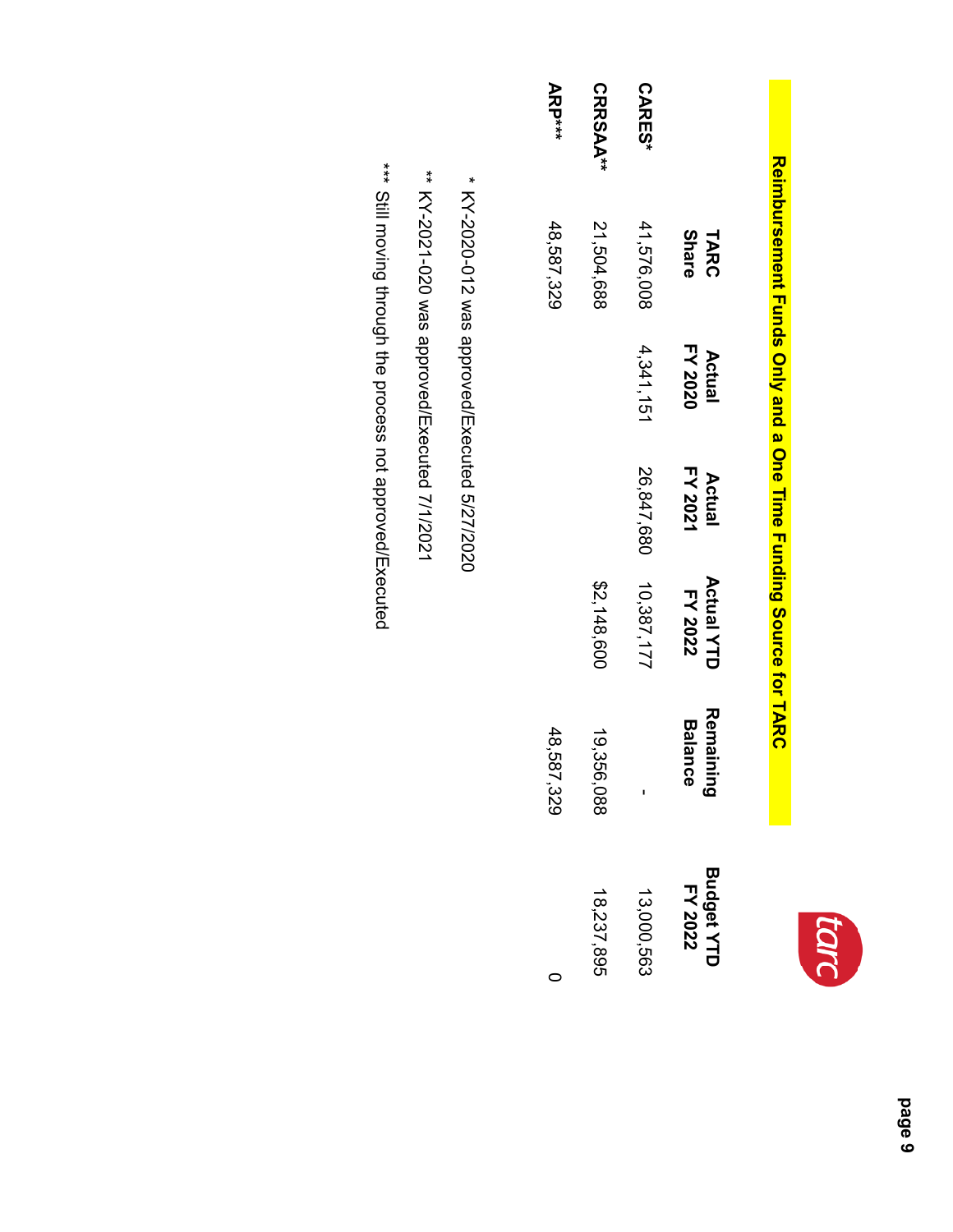# **Reimbursement Funds Only and a One Time Funding Source for TARC Reimbursement Funds Only and a One Time Funding Source for TARC**

|                 | <b>Share</b><br>TARC | FY 2020<br>Actual | FY 2021<br>Actual | <b>Actual YTD</b><br>FY 2022 | Remainir<br>Balance<br>ته | Budget YTD<br>FY 2022 |
|-----------------|----------------------|-------------------|-------------------|------------------------------|---------------------------|-----------------------|
| <b>CARES*</b>   | 41,576,008           | 4,341,151         | 26,847,680        | 10,387,177                   |                           | 13,000,563            |
| <b>CRRSAA**</b> | 21,504,688           |                   |                   | \$2,148,600                  | 19,356,088                | 18,237,895            |
| <b>ARP***</b>   | 48,587,329           |                   |                   |                              | 48,587,329                |                       |

# \* KY-2020-012 was approved/Executed 5/27/2020 KY-2020-012 was approved/Executed 5/27/2020

\*\* KY-2021-020 was approved/Executed 7/1/2021 KY-2021-020 was approved/Executed 7/1/2021

\*\*\* Still moving through the process not approved/Executed Still moving through the process not approved/Executed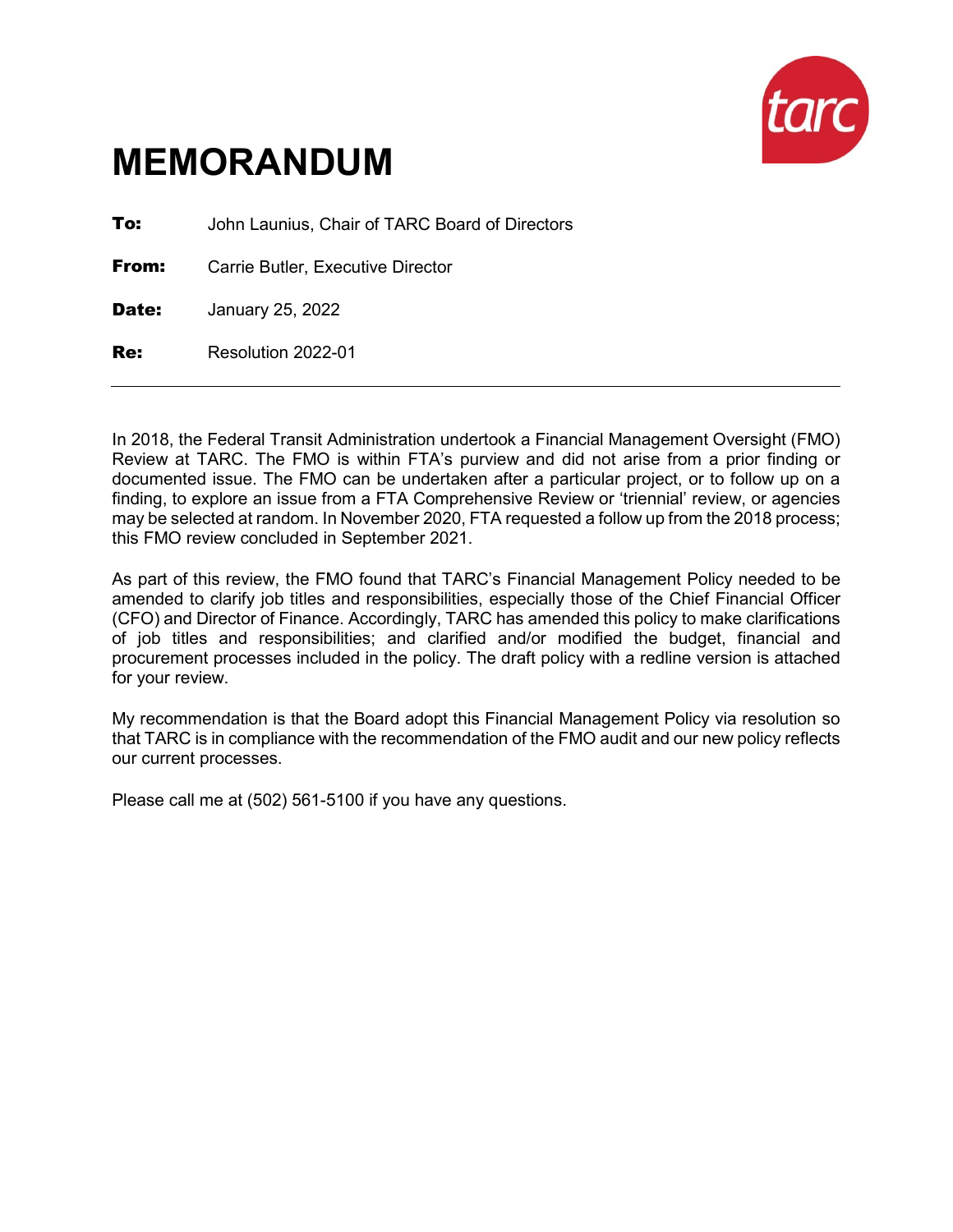

**To:** John Launius, Chair of TARC Board of Directors

**From:** Carrie Butler, Executive Director

**Date:** January 25, 2022

Re: Resolution 2022-01

In 2018, the Federal Transit Administration undertook a Financial Management Oversight (FMO) Review at TARC. The FMO is within FTA's purview and did not arise from a prior finding or documented issue. The FMO can be undertaken after a particular project, or to follow up on a finding, to explore an issue from a FTA Comprehensive Review or 'triennial' review, or agencies may be selected at random. In November 2020, FTA requested a follow up from the 2018 process; this FMO review concluded in September 2021.

As part of this review, the FMO found that TARC's Financial Management Policy needed to be amended to clarify job titles and responsibilities, especially those of the Chief Financial Officer (CFO) and Director of Finance. Accordingly, TARC has amended this policy to make clarifications of job titles and responsibilities; and clarified and/or modified the budget, financial and procurement processes included in the policy. The draft policy with a redline version is attached for your review.

My recommendation is that the Board adopt this Financial Management Policy via resolution so that TARC is in compliance with the recommendation of the FMO audit and our new policy reflects our current processes.

Please call me at (502) 561-5100 if you have any questions.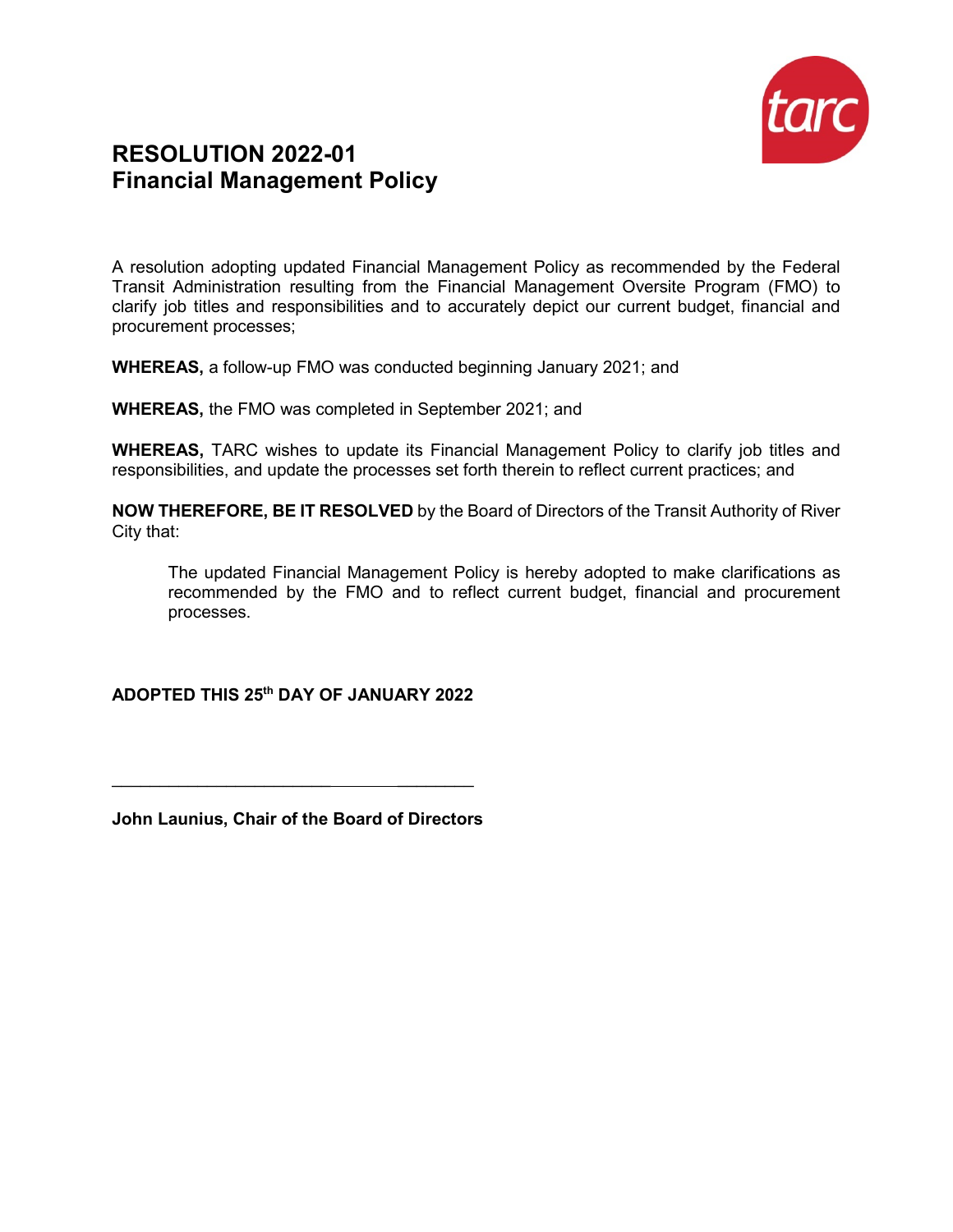

## **RESOLUTION 2022-01 Financial Management Policy**

A resolution adopting updated Financial Management Policy as recommended by the Federal Transit Administration resulting from the Financial Management Oversite Program (FMO) to clarify job titles and responsibilities and to accurately depict our current budget, financial and procurement processes;

**WHEREAS,** a follow-up FMO was conducted beginning January 2021; and

**WHEREAS,** the FMO was completed in September 2021; and

**WHEREAS,** TARC wishes to update its Financial Management Policy to clarify job titles and responsibilities, and update the processes set forth therein to reflect current practices; and

**NOW THEREFORE, BE IT RESOLVED** by the Board of Directors of the Transit Authority of River City that:

The updated Financial Management Policy is hereby adopted to make clarifications as recommended by the FMO and to reflect current budget, financial and procurement processes.

## **ADOPTED THIS 25th DAY OF JANUARY 2022**

**John Launius, Chair of the Board of Directors**

 $\mathcal{L}_\text{max}$  , where  $\mathcal{L}_\text{max}$  and  $\mathcal{L}_\text{max}$  and  $\mathcal{L}_\text{max}$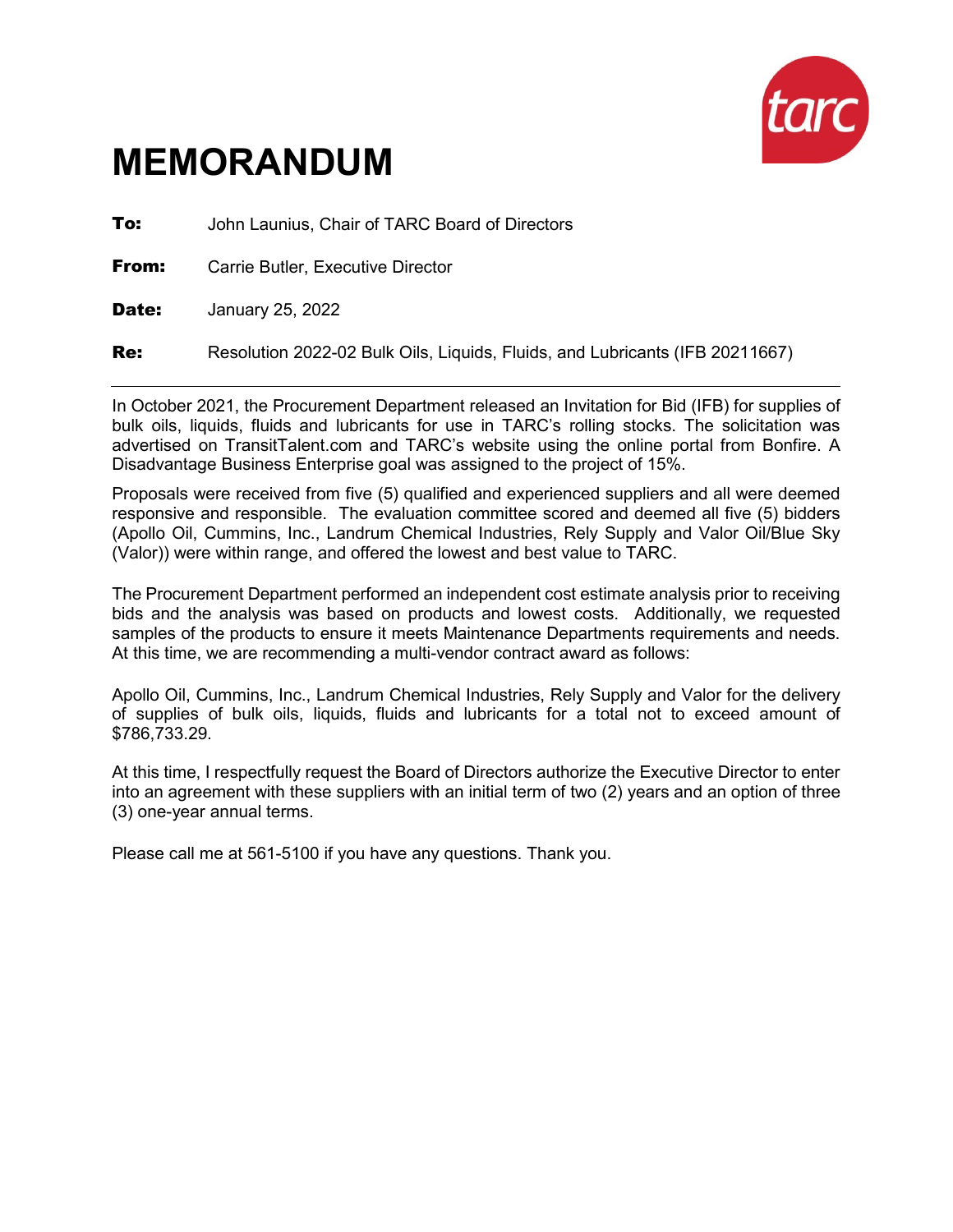

**To:** John Launius, Chair of TARC Board of Directors

**From:** Carrie Butler, Executive Director

**Date:** January 25, 2022

Re: Resolution 2022-02 Bulk Oils, Liquids, Fluids, and Lubricants (IFB 20211667)

In October 2021, the Procurement Department released an Invitation for Bid (IFB) for supplies of bulk oils, liquids, fluids and lubricants for use in TARC's rolling stocks. The solicitation was advertised on TransitTalent.com and TARC's website using the online portal from Bonfire. A Disadvantage Business Enterprise goal was assigned to the project of 15%.

Proposals were received from five (5) qualified and experienced suppliers and all were deemed responsive and responsible. The evaluation committee scored and deemed all five (5) bidders (Apollo Oil, Cummins, Inc., Landrum Chemical Industries, Rely Supply and Valor Oil/Blue Sky (Valor)) were within range, and offered the lowest and best value to TARC.

The Procurement Department performed an independent cost estimate analysis prior to receiving bids and the analysis was based on products and lowest costs. Additionally, we requested samples of the products to ensure it meets Maintenance Departments requirements and needs. At this time, we are recommending a multi-vendor contract award as follows:

Apollo Oil, Cummins, Inc., Landrum Chemical Industries, Rely Supply and Valor for the delivery of supplies of bulk oils, liquids, fluids and lubricants for a total not to exceed amount of \$786,733.29.

At this time, I respectfully request the Board of Directors authorize the Executive Director to enter into an agreement with these suppliers with an initial term of two (2) years and an option of three (3) one-year annual terms.

Please call me at 561-5100 if you have any questions. Thank you.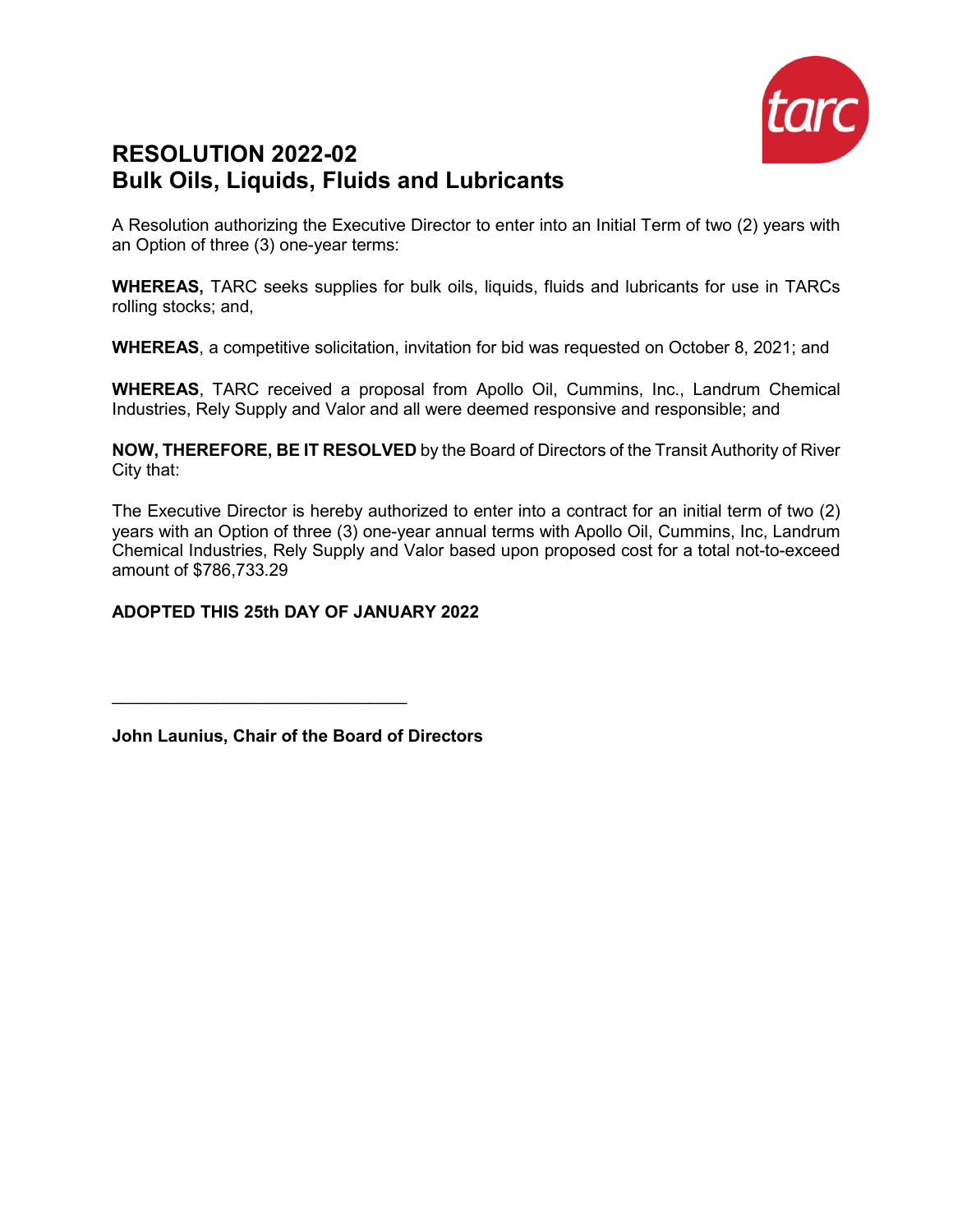

## **RESOLUTION 2022-02 Bulk Oils, Liquids, Fluids and Lubricants**

A Resolution authorizing the Executive Director to enter into an Initial Term of two (2) years with an Option of three (3) one-year terms:

**WHEREAS,** TARC seeks supplies for bulk oils, liquids, fluids and lubricants for use in TARCs rolling stocks; and,

**WHEREAS**, a competitive solicitation, invitation for bid was requested on October 8, 2021; and

**WHEREAS**, TARC received a proposal from Apollo Oil, Cummins, Inc., Landrum Chemical Industries, Rely Supply and Valor and all were deemed responsive and responsible; and

**NOW, THEREFORE, BE IT RESOLVED** by the Board of Directors of the Transit Authority of River City that:

The Executive Director is hereby authorized to enter into a contract for an initial term of two (2) years with an Option of three (3) one-year annual terms with Apollo Oil, Cummins, Inc, Landrum Chemical Industries, Rely Supply and Valor based upon proposed cost for a total not-to-exceed amount of \$786,733.29

## **ADOPTED THIS 25th DAY OF JANUARY 2022**

**John Launius, Chair of the Board of Directors**

 $\mathcal{L}_\text{max}$  , where  $\mathcal{L}_\text{max}$  , we have the set of the set of the set of the set of the set of the set of the set of the set of the set of the set of the set of the set of the set of the set of the set of the set of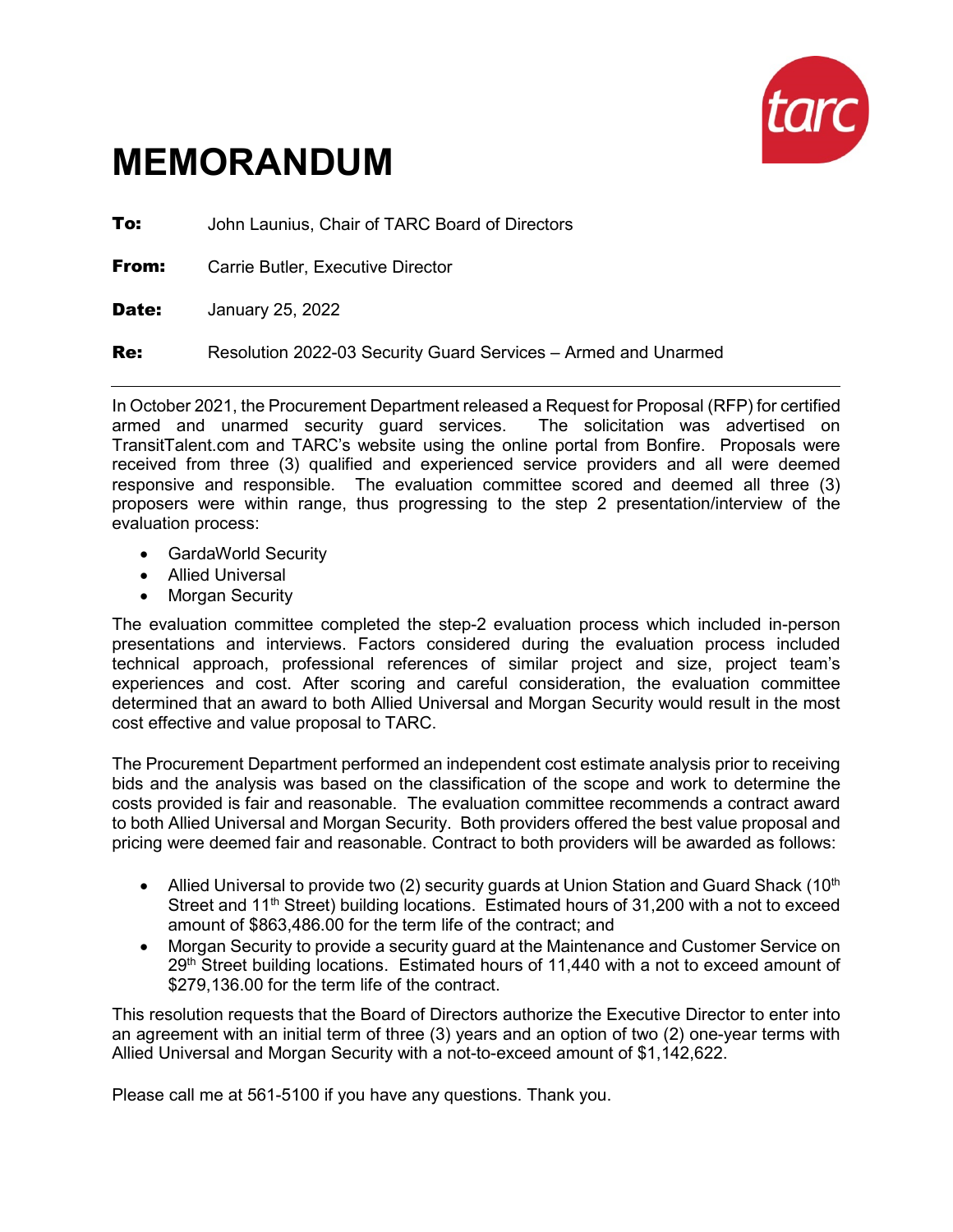

**To:** John Launius, Chair of TARC Board of Directors

**From:** Carrie Butler, Executive Director

**Date:** January 25, 2022

**Re:** Resolution 2022-03 Security Guard Services – Armed and Unarmed

In October 2021, the Procurement Department released a Request for Proposal (RFP) for certified armed and unarmed security guard services. The solicitation was advertised on TransitTalent.com and TARC's website using the online portal from Bonfire. Proposals were received from three (3) qualified and experienced service providers and all were deemed responsive and responsible. The evaluation committee scored and deemed all three (3) proposers were within range, thus progressing to the step 2 presentation/interview of the evaluation process:

- GardaWorld Security
- Allied Universal
- Morgan Security

The evaluation committee completed the step-2 evaluation process which included in-person presentations and interviews. Factors considered during the evaluation process included technical approach, professional references of similar project and size, project team's experiences and cost. After scoring and careful consideration, the evaluation committee determined that an award to both Allied Universal and Morgan Security would result in the most cost effective and value proposal to TARC.

The Procurement Department performed an independent cost estimate analysis prior to receiving bids and the analysis was based on the classification of the scope and work to determine the costs provided is fair and reasonable. The evaluation committee recommends a contract award to both Allied Universal and Morgan Security. Both providers offered the best value proposal and pricing were deemed fair and reasonable. Contract to both providers will be awarded as follows:

- Allied Universal to provide two (2) security quards at Union Station and Guard Shack (10<sup>th</sup>) Street and  $11<sup>th</sup>$  Street) building locations. Estimated hours of 31,200 with a not to exceed amount of \$863,486.00 for the term life of the contract; and
- Morgan Security to provide a security guard at the Maintenance and Customer Service on  $29<sup>th</sup>$  Street building locations. Estimated hours of 11,440 with a not to exceed amount of \$279,136.00 for the term life of the contract.

This resolution requests that the Board of Directors authorize the Executive Director to enter into an agreement with an initial term of three (3) years and an option of two (2) one-year terms with Allied Universal and Morgan Security with a not-to-exceed amount of \$1,142,622.

Please call me at 561-5100 if you have any questions. Thank you.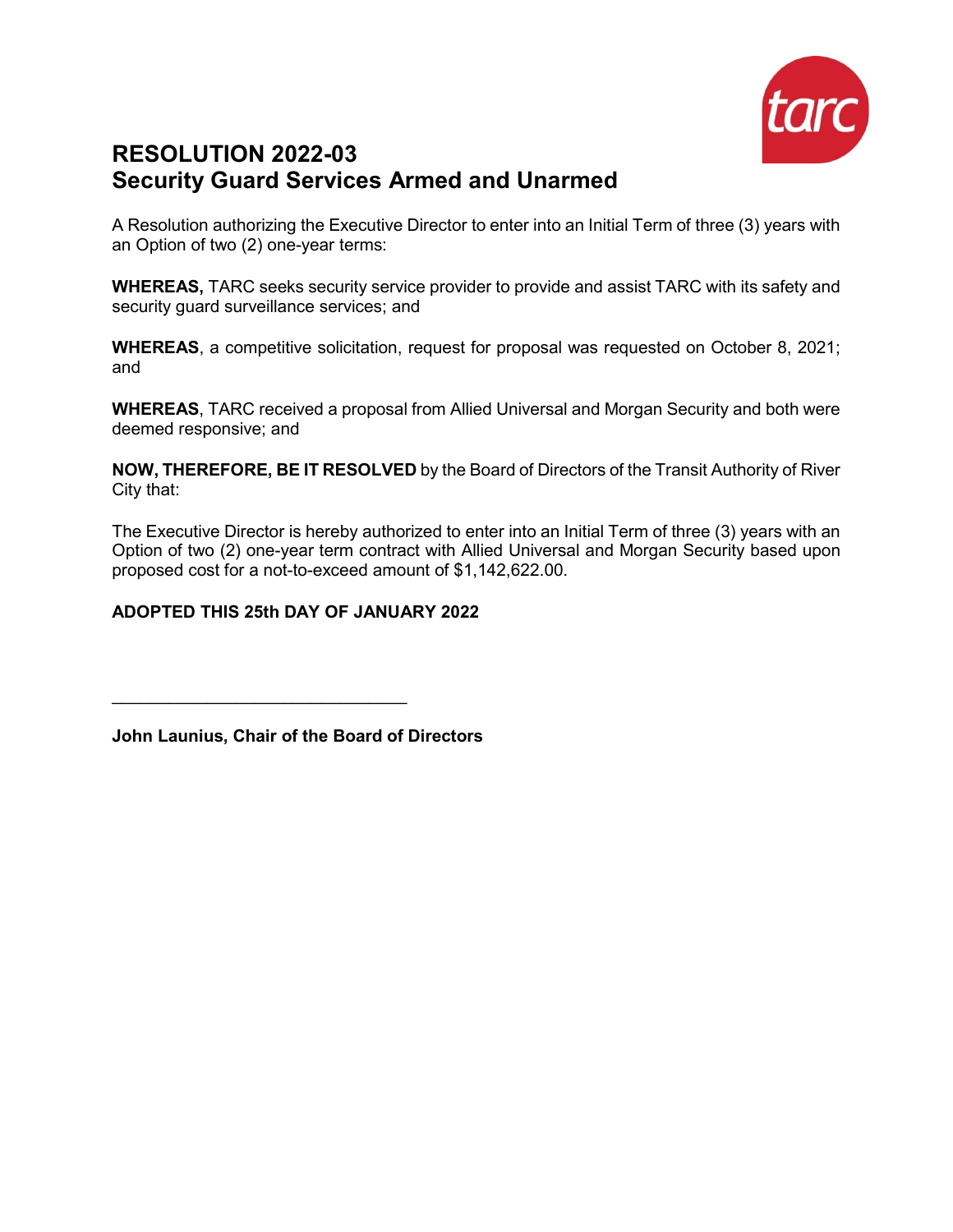

## **RESOLUTION 2022-03 Security Guard Services Armed and Unarmed**

A Resolution authorizing the Executive Director to enter into an Initial Term of three (3) years with an Option of two (2) one-year terms:

**WHEREAS,** TARC seeks security service provider to provide and assist TARC with its safety and security guard surveillance services; and

**WHEREAS**, a competitive solicitation, request for proposal was requested on October 8, 2021; and

**WHEREAS**, TARC received a proposal from Allied Universal and Morgan Security and both were deemed responsive; and

**NOW, THEREFORE, BE IT RESOLVED** by the Board of Directors of the Transit Authority of River City that:

The Executive Director is hereby authorized to enter into an Initial Term of three (3) years with an Option of two (2) one-year term contract with Allied Universal and Morgan Security based upon proposed cost for a not-to-exceed amount of \$1,142,622.00.

## **ADOPTED THIS 25th DAY OF JANUARY 2022**

**John Launius, Chair of the Board of Directors**

 $\mathcal{L}_\text{max}$  , where  $\mathcal{L}_\text{max}$  is the set of the set of the set of the set of the set of the set of the set of the set of the set of the set of the set of the set of the set of the set of the set of the set of the se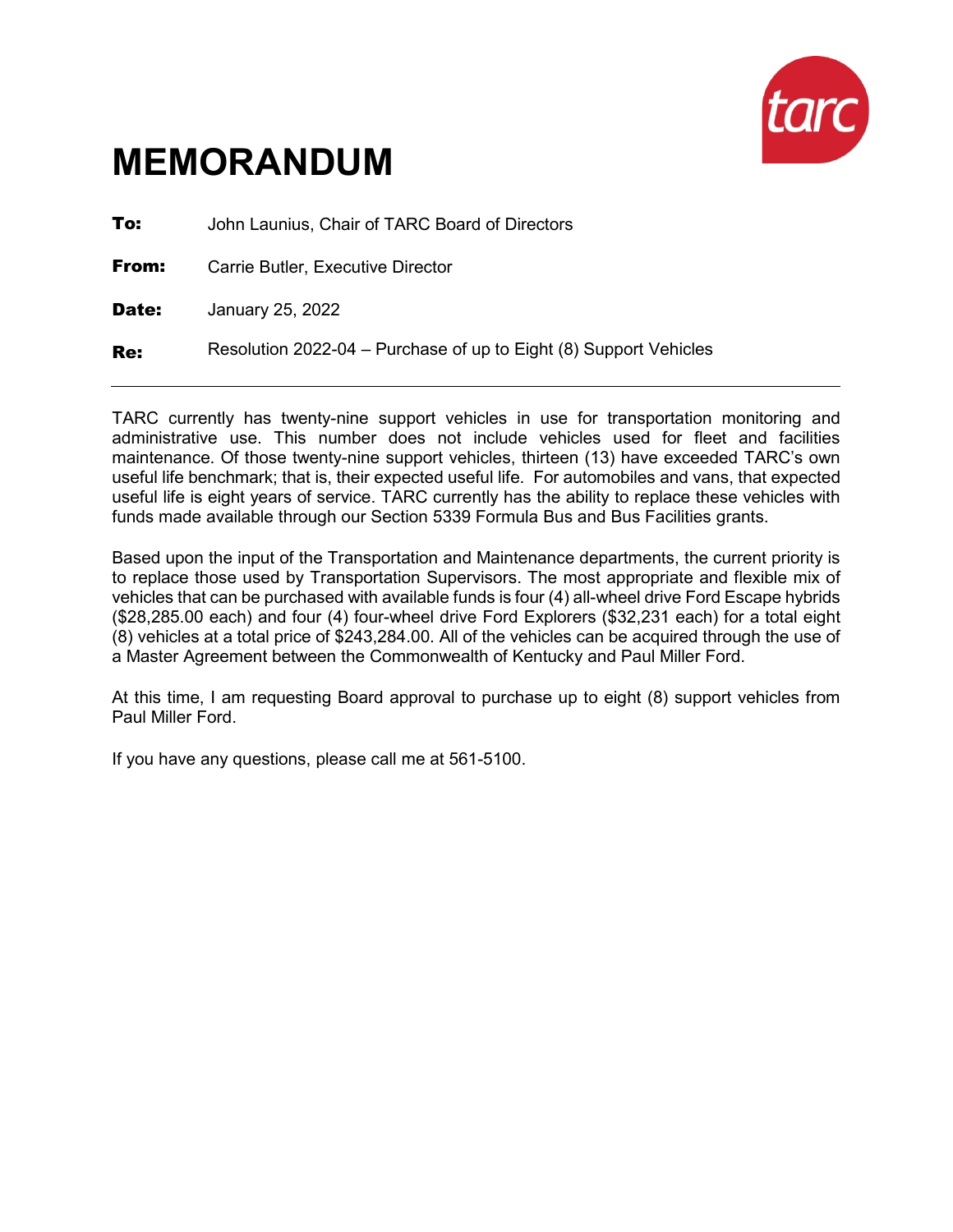

| To:   | John Launius, Chair of TARC Board of Directors                    |
|-------|-------------------------------------------------------------------|
| From: | Carrie Butler, Executive Director                                 |
| Date: | January 25, 2022                                                  |
| Re:   | Resolution 2022-04 – Purchase of up to Eight (8) Support Vehicles |

TARC currently has twenty-nine support vehicles in use for transportation monitoring and administrative use. This number does not include vehicles used for fleet and facilities maintenance. Of those twenty-nine support vehicles, thirteen (13) have exceeded TARC's own useful life benchmark; that is, their expected useful life. For automobiles and vans, that expected useful life is eight years of service. TARC currently has the ability to replace these vehicles with funds made available through our Section 5339 Formula Bus and Bus Facilities grants.

Based upon the input of the Transportation and Maintenance departments, the current priority is to replace those used by Transportation Supervisors. The most appropriate and flexible mix of vehicles that can be purchased with available funds is four (4) all-wheel drive Ford Escape hybrids (\$28,285.00 each) and four (4) four-wheel drive Ford Explorers (\$32,231 each) for a total eight (8) vehicles at a total price of \$243,284.00. All of the vehicles can be acquired through the use of a Master Agreement between the Commonwealth of Kentucky and Paul Miller Ford.

At this time, I am requesting Board approval to purchase up to eight (8) support vehicles from Paul Miller Ford.

If you have any questions, please call me at 561-5100.